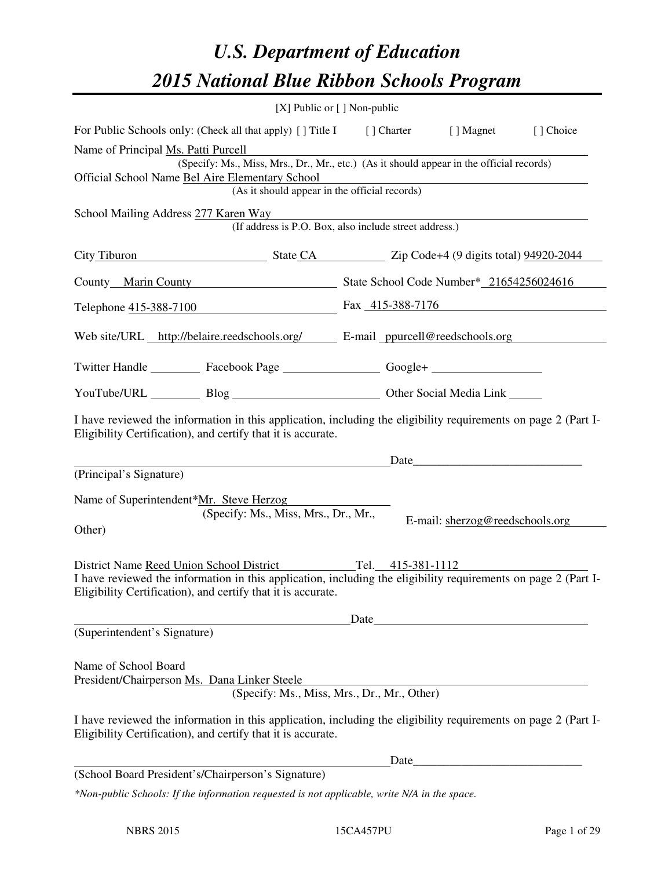# *U.S. Department of Education 2015 National Blue Ribbon Schools Program*

|                                                                                                                                                                                |                                                        | [X] Public or [] Non-public |                                 |           |  |  |
|--------------------------------------------------------------------------------------------------------------------------------------------------------------------------------|--------------------------------------------------------|-----------------------------|---------------------------------|-----------|--|--|
| For Public Schools only: (Check all that apply) [] Title I [] Charter [] Magnet                                                                                                |                                                        |                             |                                 | [] Choice |  |  |
| Name of Principal Ms. Patti Purcell                                                                                                                                            |                                                        |                             |                                 |           |  |  |
| (Specify: Ms., Miss, Mrs., Dr., Mr., etc.) (As it should appear in the official records)<br>Official School Name Bel Aire Elementary School                                    |                                                        |                             |                                 |           |  |  |
| (As it should appear in the official records)                                                                                                                                  |                                                        |                             |                                 |           |  |  |
| School Mailing Address 277 Karen Way                                                                                                                                           |                                                        |                             |                                 |           |  |  |
|                                                                                                                                                                                | (If address is P.O. Box, also include street address.) |                             |                                 |           |  |  |
| City Tiburon State CA Zip Code+4 (9 digits total) 94920-2044                                                                                                                   |                                                        |                             |                                 |           |  |  |
| County Marin County State School Code Number* 21654256024616                                                                                                                   |                                                        |                             |                                 |           |  |  |
| Telephone 415-388-7100 Fax 415-388-7176                                                                                                                                        |                                                        |                             |                                 |           |  |  |
| Web site/URL http://belaire.reedschools.org/ E-mail ppurcell@reedschools.org                                                                                                   |                                                        |                             |                                 |           |  |  |
| Twitter Handle ___________ Facebook Page ___________________ Google+ ____________                                                                                              |                                                        |                             |                                 |           |  |  |
| YouTube/URL Blog Blog Cher Social Media Link                                                                                                                                   |                                                        |                             |                                 |           |  |  |
| I have reviewed the information in this application, including the eligibility requirements on page 2 (Part I-<br>Eligibility Certification), and certify that it is accurate. |                                                        |                             |                                 |           |  |  |
|                                                                                                                                                                                |                                                        |                             | Date <u>Date</u>                |           |  |  |
| (Principal's Signature)                                                                                                                                                        |                                                        |                             |                                 |           |  |  |
| Name of Superintendent*Mr. Steve Herzog                                                                                                                                        |                                                        |                             |                                 |           |  |  |
|                                                                                                                                                                                | (Specify: Ms., Miss, Mrs., Dr., Mr.,                   |                             | E-mail: sherzog@reedschools.org |           |  |  |
| Other)                                                                                                                                                                         |                                                        |                             |                                 |           |  |  |
| District Name Reed Union School District Tel. 415-381-1112                                                                                                                     |                                                        |                             |                                 |           |  |  |
| I have reviewed the information in this application, including the eligibility requirements on page 2 (Part I-<br>Eligibility Certification), and certify that it is accurate. |                                                        |                             |                                 |           |  |  |
|                                                                                                                                                                                |                                                        | Date                        |                                 |           |  |  |
| (Superintendent's Signature)                                                                                                                                                   |                                                        |                             |                                 |           |  |  |
| Name of School Board<br>President/Chairperson Ms. Dana Linker Steele                                                                                                           | (Specify: Ms., Miss, Mrs., Dr., Mr., Other)            |                             |                                 |           |  |  |
| I have reviewed the information in this application, including the eligibility requirements on page 2 (Part I-<br>Eligibility Certification), and certify that it is accurate. |                                                        |                             |                                 |           |  |  |
|                                                                                                                                                                                |                                                        | Date                        |                                 |           |  |  |
| (School Board President's/Chairperson's Signature)                                                                                                                             |                                                        |                             |                                 |           |  |  |
| *Non-public Schools: If the information requested is not applicable, write N/A in the space.                                                                                   |                                                        |                             |                                 |           |  |  |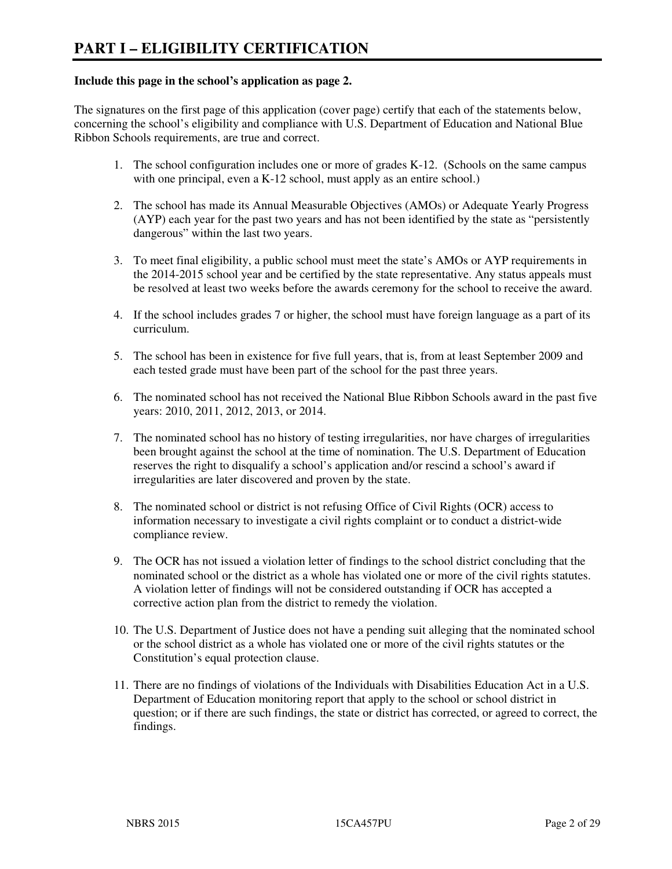#### **Include this page in the school's application as page 2.**

The signatures on the first page of this application (cover page) certify that each of the statements below, concerning the school's eligibility and compliance with U.S. Department of Education and National Blue Ribbon Schools requirements, are true and correct.

- 1. The school configuration includes one or more of grades K-12. (Schools on the same campus with one principal, even a K-12 school, must apply as an entire school.)
- 2. The school has made its Annual Measurable Objectives (AMOs) or Adequate Yearly Progress (AYP) each year for the past two years and has not been identified by the state as "persistently dangerous" within the last two years.
- 3. To meet final eligibility, a public school must meet the state's AMOs or AYP requirements in the 2014-2015 school year and be certified by the state representative. Any status appeals must be resolved at least two weeks before the awards ceremony for the school to receive the award.
- 4. If the school includes grades 7 or higher, the school must have foreign language as a part of its curriculum.
- 5. The school has been in existence for five full years, that is, from at least September 2009 and each tested grade must have been part of the school for the past three years.
- 6. The nominated school has not received the National Blue Ribbon Schools award in the past five years: 2010, 2011, 2012, 2013, or 2014.
- 7. The nominated school has no history of testing irregularities, nor have charges of irregularities been brought against the school at the time of nomination. The U.S. Department of Education reserves the right to disqualify a school's application and/or rescind a school's award if irregularities are later discovered and proven by the state.
- 8. The nominated school or district is not refusing Office of Civil Rights (OCR) access to information necessary to investigate a civil rights complaint or to conduct a district-wide compliance review.
- 9. The OCR has not issued a violation letter of findings to the school district concluding that the nominated school or the district as a whole has violated one or more of the civil rights statutes. A violation letter of findings will not be considered outstanding if OCR has accepted a corrective action plan from the district to remedy the violation.
- 10. The U.S. Department of Justice does not have a pending suit alleging that the nominated school or the school district as a whole has violated one or more of the civil rights statutes or the Constitution's equal protection clause.
- 11. There are no findings of violations of the Individuals with Disabilities Education Act in a U.S. Department of Education monitoring report that apply to the school or school district in question; or if there are such findings, the state or district has corrected, or agreed to correct, the findings.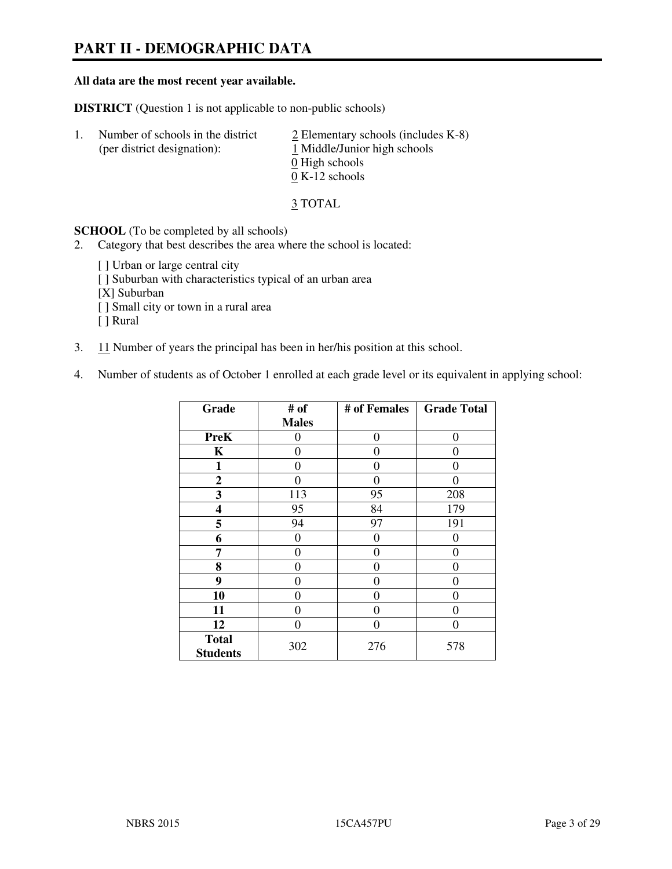# **PART II - DEMOGRAPHIC DATA**

#### **All data are the most recent year available.**

**DISTRICT** (Question 1 is not applicable to non-public schools)

| -1. | Number of schools in the district<br>(per district designation): | $\angle$ Elementary schools (includes K-8)<br>1 Middle/Junior high schools<br>0 High schools<br>$0 K-12$ schools |
|-----|------------------------------------------------------------------|------------------------------------------------------------------------------------------------------------------|
|     |                                                                  |                                                                                                                  |

3 TOTAL

**SCHOOL** (To be completed by all schools)

- 2. Category that best describes the area where the school is located:
	- [ ] Urban or large central city
	- [ ] Suburban with characteristics typical of an urban area
	- [X] Suburban
	- [ ] Small city or town in a rural area
	- [ ] Rural
- 3. 11 Number of years the principal has been in her/his position at this school.
- 4. Number of students as of October 1 enrolled at each grade level or its equivalent in applying school:

| Grade                           | # of         | # of Females | <b>Grade Total</b> |
|---------------------------------|--------------|--------------|--------------------|
|                                 | <b>Males</b> |              |                    |
| <b>PreK</b>                     | 0            | $\theta$     | 0                  |
| K                               | 0            | 0            | $\theta$           |
| $\mathbf{1}$                    | 0            | 0            | $\theta$           |
| $\mathbf{2}$                    | 0            | 0            | 0                  |
| 3                               | 113          | 95           | 208                |
| 4                               | 95           | 84           | 179                |
| 5                               | 94           | 97           | 191                |
| 6                               | 0            | $\theta$     | $\theta$           |
| 7                               | 0            | $\Omega$     | 0                  |
| 8                               | 0            | 0            | $\theta$           |
| 9                               | $\theta$     | 0            | 0                  |
| 10                              | 0            | 0            | 0                  |
| 11                              | 0            | 0            | $\theta$           |
| 12                              | 0            | 0            | 0                  |
| <b>Total</b><br><b>Students</b> | 302          | 276          | 578                |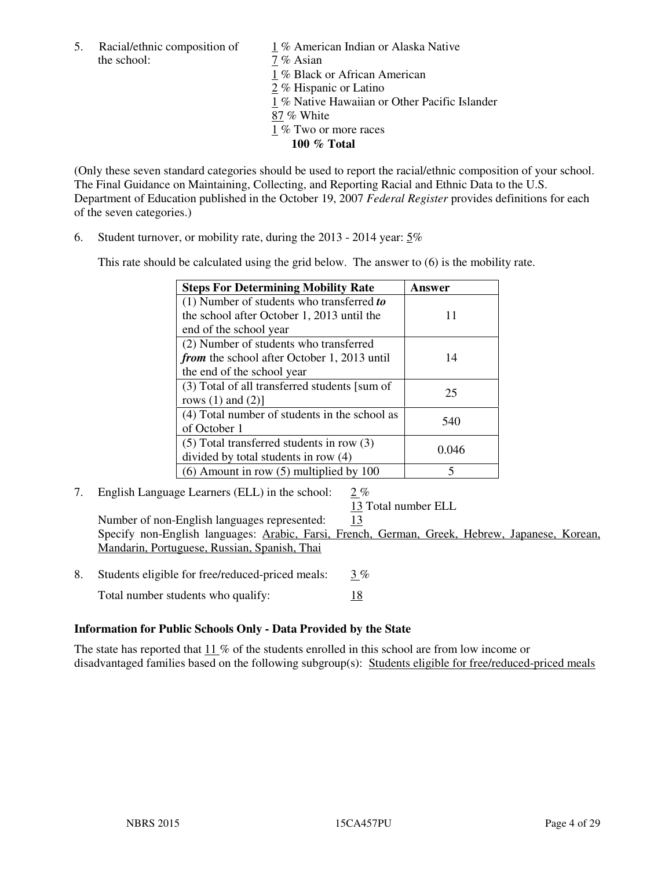the school:  $7\%$  Asian

5. Racial/ethnic composition of 1 % American Indian or Alaska Native

1 % Black or African American

2 % Hispanic or Latino

1 % Native Hawaiian or Other Pacific Islander

87 % White

1 % Two or more races

**100 % Total** 

(Only these seven standard categories should be used to report the racial/ethnic composition of your school. The Final Guidance on Maintaining, Collecting, and Reporting Racial and Ethnic Data to the U.S. Department of Education published in the October 19, 2007 *Federal Register* provides definitions for each of the seven categories.)

6. Student turnover, or mobility rate, during the 2013 - 2014 year: 5%

This rate should be calculated using the grid below. The answer to (6) is the mobility rate.

| <b>Steps For Determining Mobility Rate</b>         | Answer |  |
|----------------------------------------------------|--------|--|
| $(1)$ Number of students who transferred to        |        |  |
| the school after October 1, 2013 until the         | 11     |  |
| end of the school year                             |        |  |
| (2) Number of students who transferred             |        |  |
| <i>from</i> the school after October 1, 2013 until | 14     |  |
| the end of the school year                         |        |  |
| (3) Total of all transferred students [sum of      | 25     |  |
| rows $(1)$ and $(2)$ ]                             |        |  |
| (4) Total number of students in the school as      |        |  |
| of October 1                                       | 540    |  |
| $(5)$ Total transferred students in row $(3)$      |        |  |
| divided by total students in row (4)               | 0.046  |  |
| $(6)$ Amount in row $(5)$ multiplied by 100        | 5      |  |

7. English Language Learners (ELL) in the school: 2 %

13 Total number ELL

Number of non-English languages represented: 13 Specify non-English languages: Arabic, Farsi, French, German, Greek, Hebrew, Japanese, Korean, Mandarin, Portuguese, Russian, Spanish, Thai

- 8. Students eligible for free/reduced-priced meals:  $3\%$ 
	- Total number students who qualify: 18

# **Information for Public Schools Only - Data Provided by the State**

The state has reported that  $11\%$  of the students enrolled in this school are from low income or disadvantaged families based on the following subgroup(s): Students eligible for free/reduced-priced meals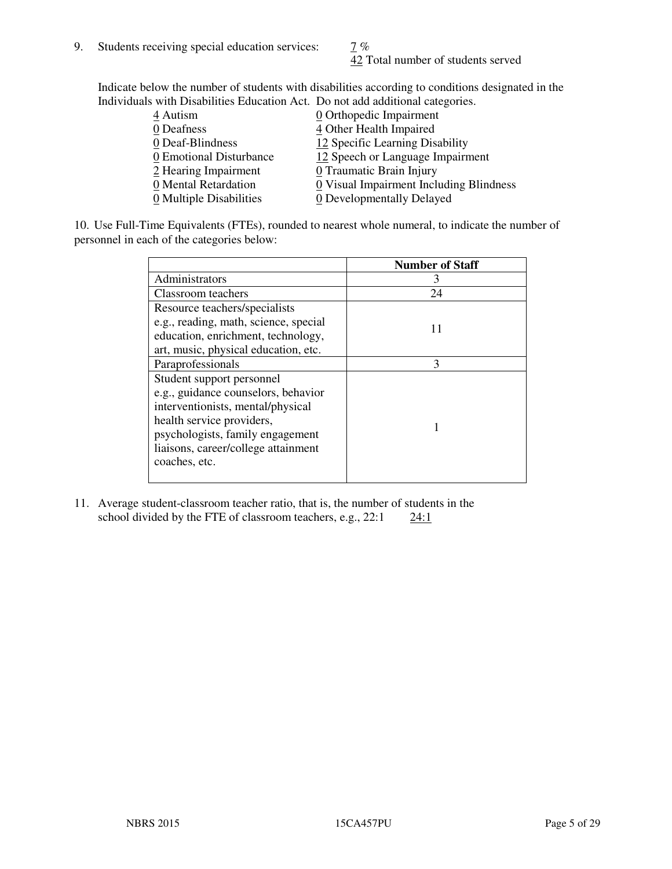42 Total number of students served

Indicate below the number of students with disabilities according to conditions designated in the Individuals with Disabilities Education Act. Do not add additional categories.

| THE LEW CONSTRUCTION OF THE CONSTRUCTION OF THE CONSTRUCTION OF A LOCAL CONSTRUCTION OF A CONSTRUCTION OF THE CONSTRUCTION OF THE CONSTRUCTION OF THE CONSTRUCTION OF THE CONSTRUCTION OF THE CONSTRUCTION OF THE CONSTRUCTIO |                                         |
|-------------------------------------------------------------------------------------------------------------------------------------------------------------------------------------------------------------------------------|-----------------------------------------|
| 4 Autism                                                                                                                                                                                                                      | $\underline{0}$ Orthopedic Impairment   |
| 0 Deafness                                                                                                                                                                                                                    | 4 Other Health Impaired                 |
| 0 Deaf-Blindness                                                                                                                                                                                                              | 12 Specific Learning Disability         |
| 0 Emotional Disturbance                                                                                                                                                                                                       | 12 Speech or Language Impairment        |
| 2 Hearing Impairment                                                                                                                                                                                                          | 0 Traumatic Brain Injury                |
| 0 Mental Retardation                                                                                                                                                                                                          | 0 Visual Impairment Including Blindness |
| 0 Multiple Disabilities                                                                                                                                                                                                       | 0 Developmentally Delayed               |
|                                                                                                                                                                                                                               |                                         |

10. Use Full-Time Equivalents (FTEs), rounded to nearest whole numeral, to indicate the number of personnel in each of the categories below:

|                                       | <b>Number of Staff</b> |
|---------------------------------------|------------------------|
| Administrators                        |                        |
| Classroom teachers                    | 24                     |
| Resource teachers/specialists         |                        |
| e.g., reading, math, science, special | 11                     |
| education, enrichment, technology,    |                        |
| art, music, physical education, etc.  |                        |
| Paraprofessionals                     | 3                      |
| Student support personnel             |                        |
| e.g., guidance counselors, behavior   |                        |
| interventionists, mental/physical     |                        |
| health service providers,             |                        |
| psychologists, family engagement      |                        |
| liaisons, career/college attainment   |                        |
| coaches, etc.                         |                        |
|                                       |                        |

11. Average student-classroom teacher ratio, that is, the number of students in the school divided by the FTE of classroom teachers, e.g.,  $22:1$   $24:1$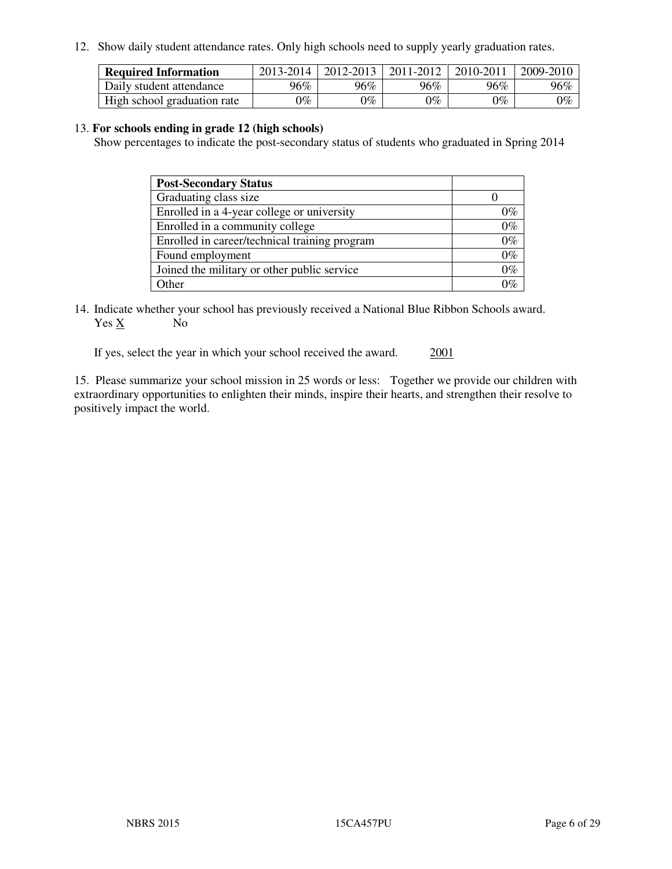12. Show daily student attendance rates. Only high schools need to supply yearly graduation rates.

| <b>Required Information</b> | 2013-2014     | 2012-2013       | 2011-2012 | 2010-2011 | 2009-2010 |
|-----------------------------|---------------|-----------------|-----------|-----------|-----------|
| Daily student attendance    | 96%           | $96\%$          | 96%       | 96%       | 96%       |
| High school graduation rate | $\gamma_{\%}$ | $\mathcal{V}_o$ | $0\%$     | 0%        | 0%        |

#### 13. **For schools ending in grade 12 (high schools)**

Show percentages to indicate the post-secondary status of students who graduated in Spring 2014

| <b>Post-Secondary Status</b>                  |       |
|-----------------------------------------------|-------|
| Graduating class size                         |       |
| Enrolled in a 4-year college or university    | 0%    |
| Enrolled in a community college               | $0\%$ |
| Enrolled in career/technical training program | $0\%$ |
| Found employment                              | $0\%$ |
| Joined the military or other public service   | $0\%$ |
| Other                                         | ገር/   |

14. Indicate whether your school has previously received a National Blue Ribbon Schools award. Yes X No

If yes, select the year in which your school received the award. 2001

15. Please summarize your school mission in 25 words or less: Together we provide our children with extraordinary opportunities to enlighten their minds, inspire their hearts, and strengthen their resolve to positively impact the world.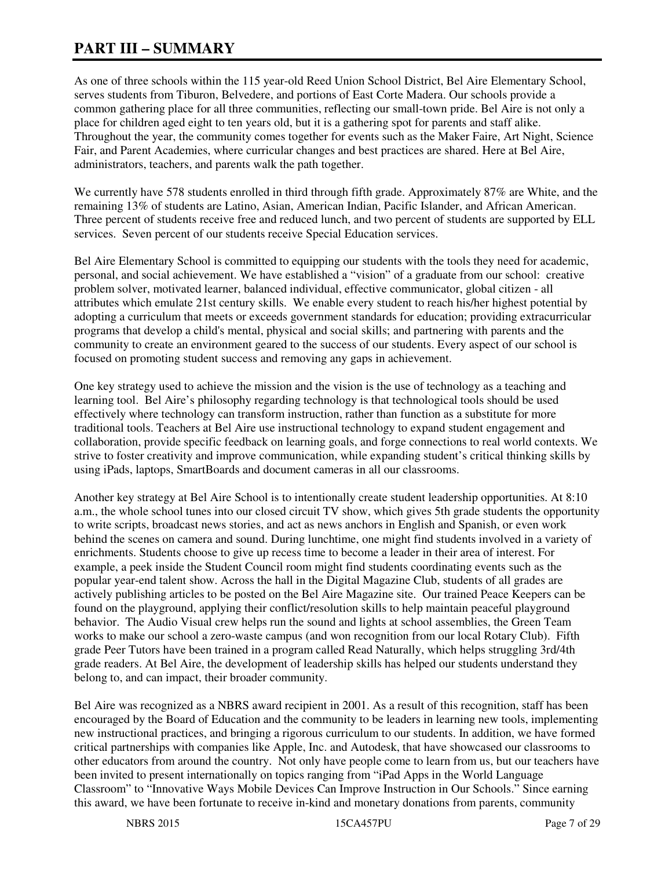# **PART III – SUMMARY**

As one of three schools within the 115 year-old Reed Union School District, Bel Aire Elementary School, serves students from Tiburon, Belvedere, and portions of East Corte Madera. Our schools provide a common gathering place for all three communities, reflecting our small-town pride. Bel Aire is not only a place for children aged eight to ten years old, but it is a gathering spot for parents and staff alike. Throughout the year, the community comes together for events such as the Maker Faire, Art Night, Science Fair, and Parent Academies, where curricular changes and best practices are shared. Here at Bel Aire, administrators, teachers, and parents walk the path together.

We currently have 578 students enrolled in third through fifth grade. Approximately 87% are White, and the remaining 13% of students are Latino, Asian, American Indian, Pacific Islander, and African American. Three percent of students receive free and reduced lunch, and two percent of students are supported by ELL services. Seven percent of our students receive Special Education services.

Bel Aire Elementary School is committed to equipping our students with the tools they need for academic, personal, and social achievement. We have established a "vision" of a graduate from our school: creative problem solver, motivated learner, balanced individual, effective communicator, global citizen - all attributes which emulate 21st century skills. We enable every student to reach his/her highest potential by adopting a curriculum that meets or exceeds government standards for education; providing extracurricular programs that develop a child's mental, physical and social skills; and partnering with parents and the community to create an environment geared to the success of our students. Every aspect of our school is focused on promoting student success and removing any gaps in achievement.

One key strategy used to achieve the mission and the vision is the use of technology as a teaching and learning tool. Bel Aire's philosophy regarding technology is that technological tools should be used effectively where technology can transform instruction, rather than function as a substitute for more traditional tools. Teachers at Bel Aire use instructional technology to expand student engagement and collaboration, provide specific feedback on learning goals, and forge connections to real world contexts. We strive to foster creativity and improve communication, while expanding student's critical thinking skills by using iPads, laptops, SmartBoards and document cameras in all our classrooms.

Another key strategy at Bel Aire School is to intentionally create student leadership opportunities. At 8:10 a.m., the whole school tunes into our closed circuit TV show, which gives 5th grade students the opportunity to write scripts, broadcast news stories, and act as news anchors in English and Spanish, or even work behind the scenes on camera and sound. During lunchtime, one might find students involved in a variety of enrichments. Students choose to give up recess time to become a leader in their area of interest. For example, a peek inside the Student Council room might find students coordinating events such as the popular year-end talent show. Across the hall in the Digital Magazine Club, students of all grades are actively publishing articles to be posted on the Bel Aire Magazine site. Our trained Peace Keepers can be found on the playground, applying their conflict/resolution skills to help maintain peaceful playground behavior. The Audio Visual crew helps run the sound and lights at school assemblies, the Green Team works to make our school a zero-waste campus (and won recognition from our local Rotary Club). Fifth grade Peer Tutors have been trained in a program called Read Naturally, which helps struggling 3rd/4th grade readers. At Bel Aire, the development of leadership skills has helped our students understand they belong to, and can impact, their broader community.

Bel Aire was recognized as a NBRS award recipient in 2001. As a result of this recognition, staff has been encouraged by the Board of Education and the community to be leaders in learning new tools, implementing new instructional practices, and bringing a rigorous curriculum to our students. In addition, we have formed critical partnerships with companies like Apple, Inc. and Autodesk, that have showcased our classrooms to other educators from around the country. Not only have people come to learn from us, but our teachers have been invited to present internationally on topics ranging from "iPad Apps in the World Language Classroom" to "Innovative Ways Mobile Devices Can Improve Instruction in Our Schools." Since earning this award, we have been fortunate to receive in-kind and monetary donations from parents, community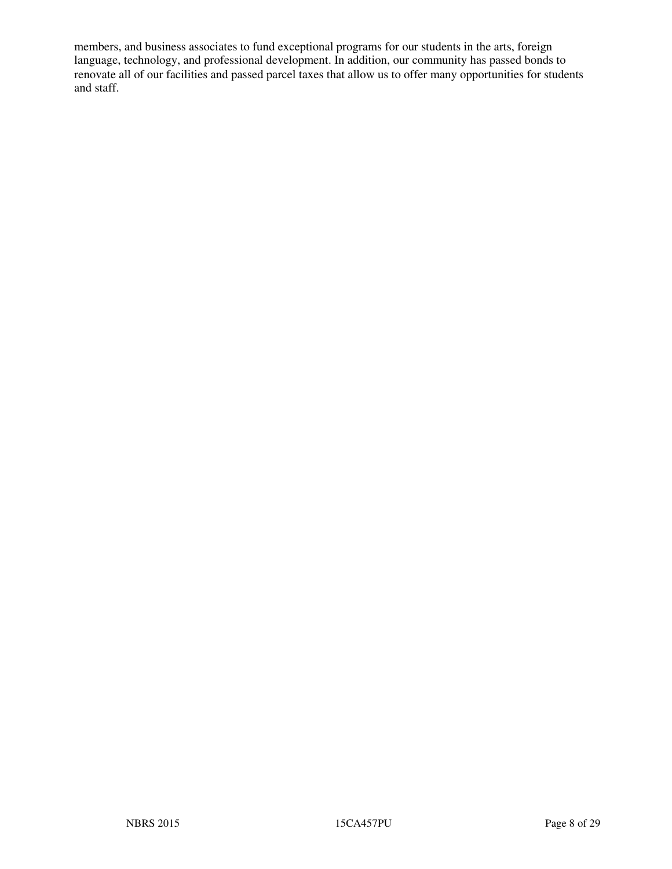members, and business associates to fund exceptional programs for our students in the arts, foreign language, technology, and professional development. In addition, our community has passed bonds to renovate all of our facilities and passed parcel taxes that allow us to offer many opportunities for students and staff.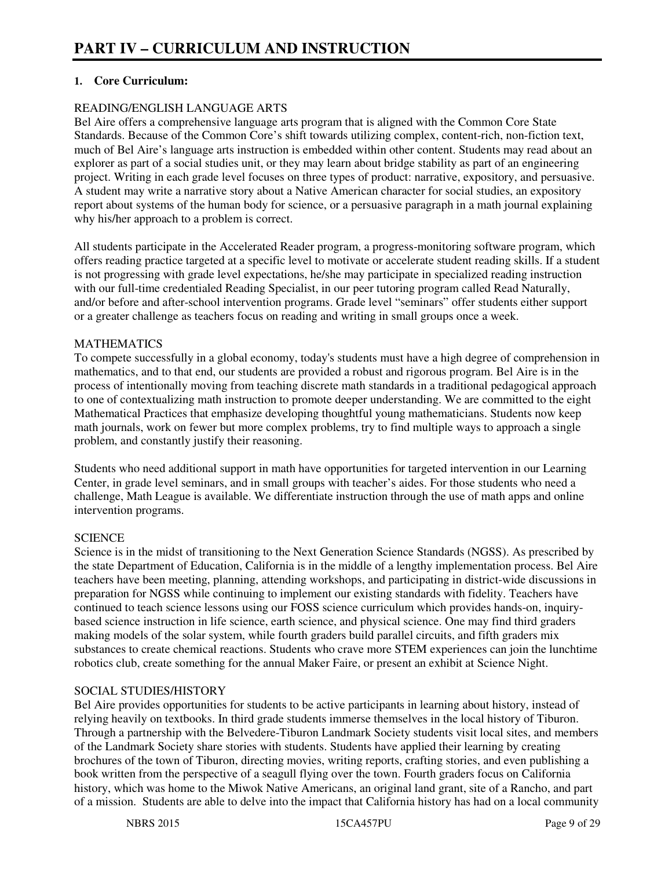# **1. Core Curriculum:**

## READING/ENGLISH LANGUAGE ARTS

Bel Aire offers a comprehensive language arts program that is aligned with the Common Core State Standards. Because of the Common Core's shift towards utilizing complex, content-rich, non-fiction text, much of Bel Aire's language arts instruction is embedded within other content. Students may read about an explorer as part of a social studies unit, or they may learn about bridge stability as part of an engineering project. Writing in each grade level focuses on three types of product: narrative, expository, and persuasive. A student may write a narrative story about a Native American character for social studies, an expository report about systems of the human body for science, or a persuasive paragraph in a math journal explaining why his/her approach to a problem is correct.

All students participate in the Accelerated Reader program, a progress-monitoring software program, which offers reading practice targeted at a specific level to motivate or accelerate student reading skills. If a student is not progressing with grade level expectations, he/she may participate in specialized reading instruction with our full-time credentialed Reading Specialist, in our peer tutoring program called Read Naturally, and/or before and after-school intervention programs. Grade level "seminars" offer students either support or a greater challenge as teachers focus on reading and writing in small groups once a week.

# **MATHEMATICS**

To compete successfully in a global economy, today's students must have a high degree of comprehension in mathematics, and to that end, our students are provided a robust and rigorous program. Bel Aire is in the process of intentionally moving from teaching discrete math standards in a traditional pedagogical approach to one of contextualizing math instruction to promote deeper understanding. We are committed to the eight Mathematical Practices that emphasize developing thoughtful young mathematicians. Students now keep math journals, work on fewer but more complex problems, try to find multiple ways to approach a single problem, and constantly justify their reasoning.

Students who need additional support in math have opportunities for targeted intervention in our Learning Center, in grade level seminars, and in small groups with teacher's aides. For those students who need a challenge, Math League is available. We differentiate instruction through the use of math apps and online intervention programs.

## **SCIENCE**

Science is in the midst of transitioning to the Next Generation Science Standards (NGSS). As prescribed by the state Department of Education, California is in the middle of a lengthy implementation process. Bel Aire teachers have been meeting, planning, attending workshops, and participating in district-wide discussions in preparation for NGSS while continuing to implement our existing standards with fidelity. Teachers have continued to teach science lessons using our FOSS science curriculum which provides hands-on, inquirybased science instruction in life science, earth science, and physical science. One may find third graders making models of the solar system, while fourth graders build parallel circuits, and fifth graders mix substances to create chemical reactions. Students who crave more STEM experiences can join the lunchtime robotics club, create something for the annual Maker Faire, or present an exhibit at Science Night.

#### SOCIAL STUDIES/HISTORY

Bel Aire provides opportunities for students to be active participants in learning about history, instead of relying heavily on textbooks. In third grade students immerse themselves in the local history of Tiburon. Through a partnership with the Belvedere-Tiburon Landmark Society students visit local sites, and members of the Landmark Society share stories with students. Students have applied their learning by creating brochures of the town of Tiburon, directing movies, writing reports, crafting stories, and even publishing a book written from the perspective of a seagull flying over the town. Fourth graders focus on California history, which was home to the Miwok Native Americans, an original land grant, site of a Rancho, and part of a mission. Students are able to delve into the impact that California history has had on a local community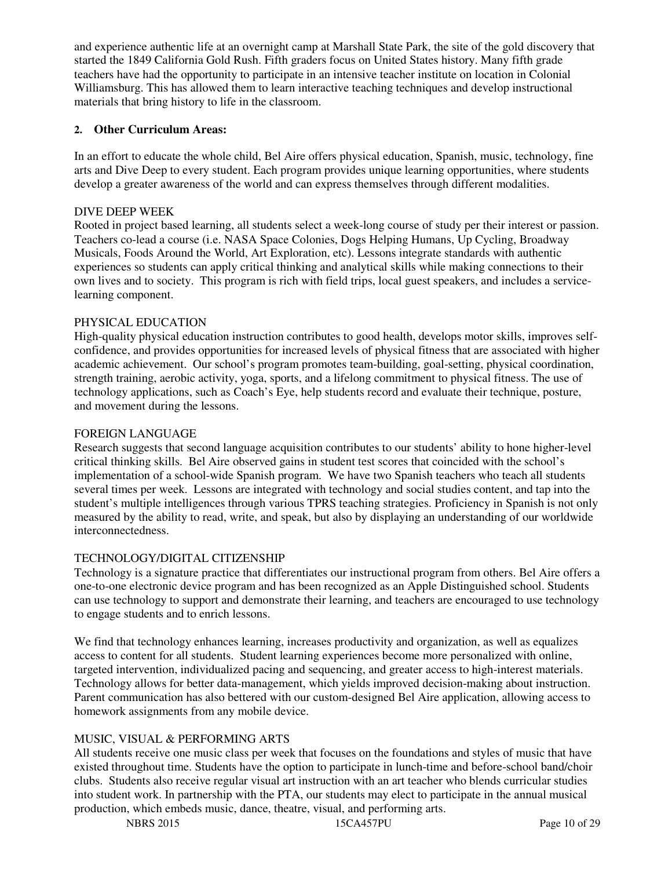and experience authentic life at an overnight camp at Marshall State Park, the site of the gold discovery that started the 1849 California Gold Rush. Fifth graders focus on United States history. Many fifth grade teachers have had the opportunity to participate in an intensive teacher institute on location in Colonial Williamsburg. This has allowed them to learn interactive teaching techniques and develop instructional materials that bring history to life in the classroom.

# **2. Other Curriculum Areas:**

In an effort to educate the whole child, Bel Aire offers physical education, Spanish, music, technology, fine arts and Dive Deep to every student. Each program provides unique learning opportunities, where students develop a greater awareness of the world and can express themselves through different modalities.

#### DIVE DEEP WEEK

Rooted in project based learning, all students select a week-long course of study per their interest or passion. Teachers co-lead a course (i.e. NASA Space Colonies, Dogs Helping Humans, Up Cycling, Broadway Musicals, Foods Around the World, Art Exploration, etc). Lessons integrate standards with authentic experiences so students can apply critical thinking and analytical skills while making connections to their own lives and to society. This program is rich with field trips, local guest speakers, and includes a servicelearning component.

## PHYSICAL EDUCATION

High-quality physical education instruction contributes to good health, develops motor skills, improves selfconfidence, and provides opportunities for increased levels of physical fitness that are associated with higher academic achievement. Our school's program promotes team-building, goal-setting, physical coordination, strength training, aerobic activity, yoga, sports, and a lifelong commitment to physical fitness. The use of technology applications, such as Coach's Eye, help students record and evaluate their technique, posture, and movement during the lessons.

#### FOREIGN LANGUAGE

Research suggests that second language acquisition contributes to our students' ability to hone higher-level critical thinking skills. Bel Aire observed gains in student test scores that coincided with the school's implementation of a school-wide Spanish program. We have two Spanish teachers who teach all students several times per week. Lessons are integrated with technology and social studies content, and tap into the student's multiple intelligences through various TPRS teaching strategies. Proficiency in Spanish is not only measured by the ability to read, write, and speak, but also by displaying an understanding of our worldwide interconnectedness.

#### TECHNOLOGY/DIGITAL CITIZENSHIP

Technology is a signature practice that differentiates our instructional program from others. Bel Aire offers a one-to-one electronic device program and has been recognized as an Apple Distinguished school. Students can use technology to support and demonstrate their learning, and teachers are encouraged to use technology to engage students and to enrich lessons.

We find that technology enhances learning, increases productivity and organization, as well as equalizes access to content for all students. Student learning experiences become more personalized with online, targeted intervention, individualized pacing and sequencing, and greater access to high-interest materials. Technology allows for better data-management, which yields improved decision-making about instruction. Parent communication has also bettered with our custom-designed Bel Aire application, allowing access to homework assignments from any mobile device.

# MUSIC, VISUAL & PERFORMING ARTS

All students receive one music class per week that focuses on the foundations and styles of music that have existed throughout time. Students have the option to participate in lunch-time and before-school band/choir clubs. Students also receive regular visual art instruction with an art teacher who blends curricular studies into student work. In partnership with the PTA, our students may elect to participate in the annual musical production, which embeds music, dance, theatre, visual, and performing arts.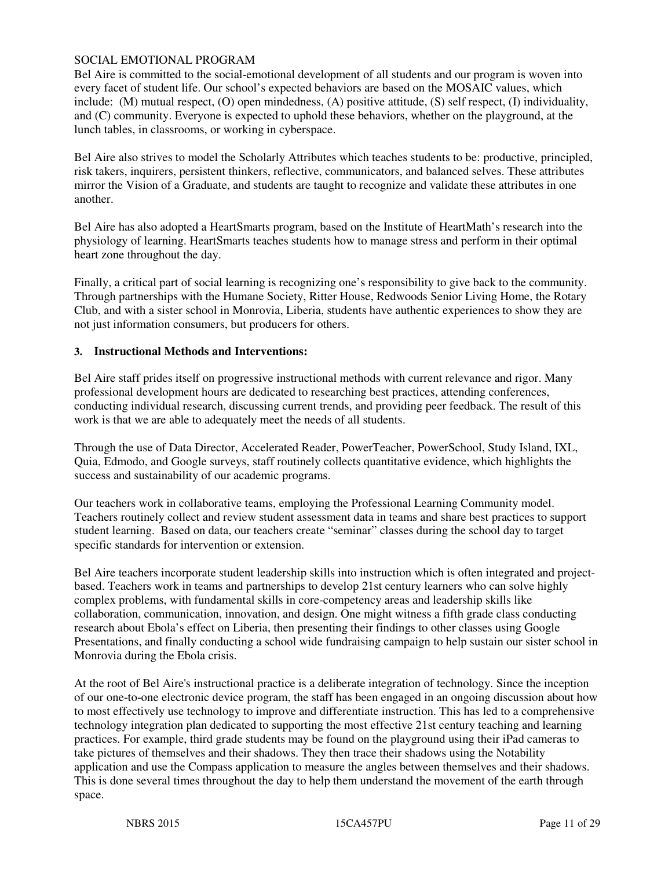#### SOCIAL EMOTIONAL PROGRAM

Bel Aire is committed to the social-emotional development of all students and our program is woven into every facet of student life. Our school's expected behaviors are based on the MOSAIC values, which include: (M) mutual respect, (O) open mindedness, (A) positive attitude, (S) self respect, (I) individuality, and (C) community. Everyone is expected to uphold these behaviors, whether on the playground, at the lunch tables, in classrooms, or working in cyberspace.

Bel Aire also strives to model the Scholarly Attributes which teaches students to be: productive, principled, risk takers, inquirers, persistent thinkers, reflective, communicators, and balanced selves. These attributes mirror the Vision of a Graduate, and students are taught to recognize and validate these attributes in one another.

Bel Aire has also adopted a HeartSmarts program, based on the Institute of HeartMath's research into the physiology of learning. HeartSmarts teaches students how to manage stress and perform in their optimal heart zone throughout the day.

Finally, a critical part of social learning is recognizing one's responsibility to give back to the community. Through partnerships with the Humane Society, Ritter House, Redwoods Senior Living Home, the Rotary Club, and with a sister school in Monrovia, Liberia, students have authentic experiences to show they are not just information consumers, but producers for others.

#### **3. Instructional Methods and Interventions:**

Bel Aire staff prides itself on progressive instructional methods with current relevance and rigor. Many professional development hours are dedicated to researching best practices, attending conferences, conducting individual research, discussing current trends, and providing peer feedback. The result of this work is that we are able to adequately meet the needs of all students.

Through the use of Data Director, Accelerated Reader, PowerTeacher, PowerSchool, Study Island, IXL, Quia, Edmodo, and Google surveys, staff routinely collects quantitative evidence, which highlights the success and sustainability of our academic programs.

Our teachers work in collaborative teams, employing the Professional Learning Community model. Teachers routinely collect and review student assessment data in teams and share best practices to support student learning. Based on data, our teachers create "seminar" classes during the school day to target specific standards for intervention or extension.

Bel Aire teachers incorporate student leadership skills into instruction which is often integrated and projectbased. Teachers work in teams and partnerships to develop 21st century learners who can solve highly complex problems, with fundamental skills in core-competency areas and leadership skills like collaboration, communication, innovation, and design. One might witness a fifth grade class conducting research about Ebola's effect on Liberia, then presenting their findings to other classes using Google Presentations, and finally conducting a school wide fundraising campaign to help sustain our sister school in Monrovia during the Ebola crisis.

At the root of Bel Aire's instructional practice is a deliberate integration of technology. Since the inception of our one-to-one electronic device program, the staff has been engaged in an ongoing discussion about how to most effectively use technology to improve and differentiate instruction. This has led to a comprehensive technology integration plan dedicated to supporting the most effective 21st century teaching and learning practices. For example, third grade students may be found on the playground using their iPad cameras to take pictures of themselves and their shadows. They then trace their shadows using the Notability application and use the Compass application to measure the angles between themselves and their shadows. This is done several times throughout the day to help them understand the movement of the earth through space.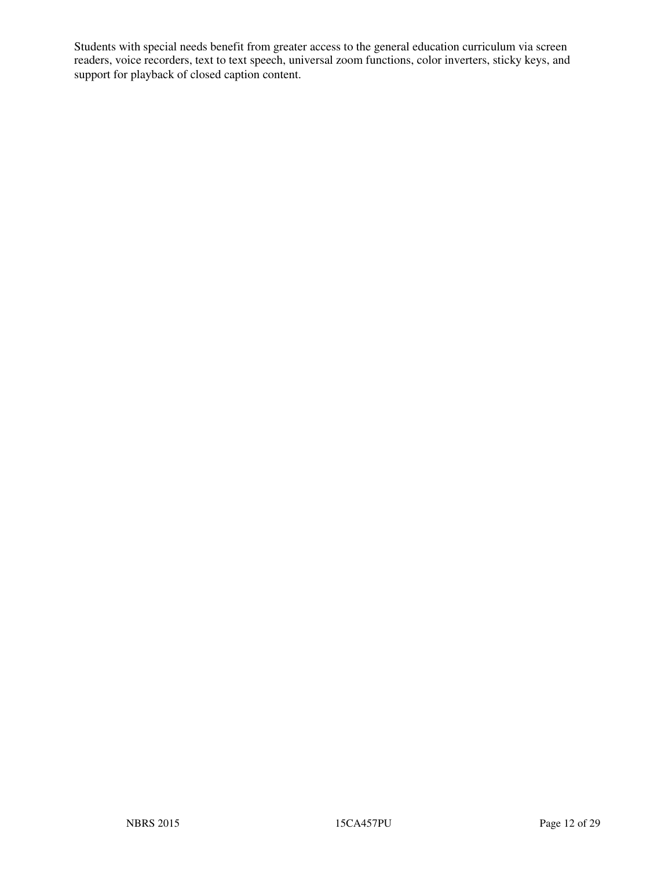Students with special needs benefit from greater access to the general education curriculum via screen readers, voice recorders, text to text speech, universal zoom functions, color inverters, sticky keys, and support for playback of closed caption content.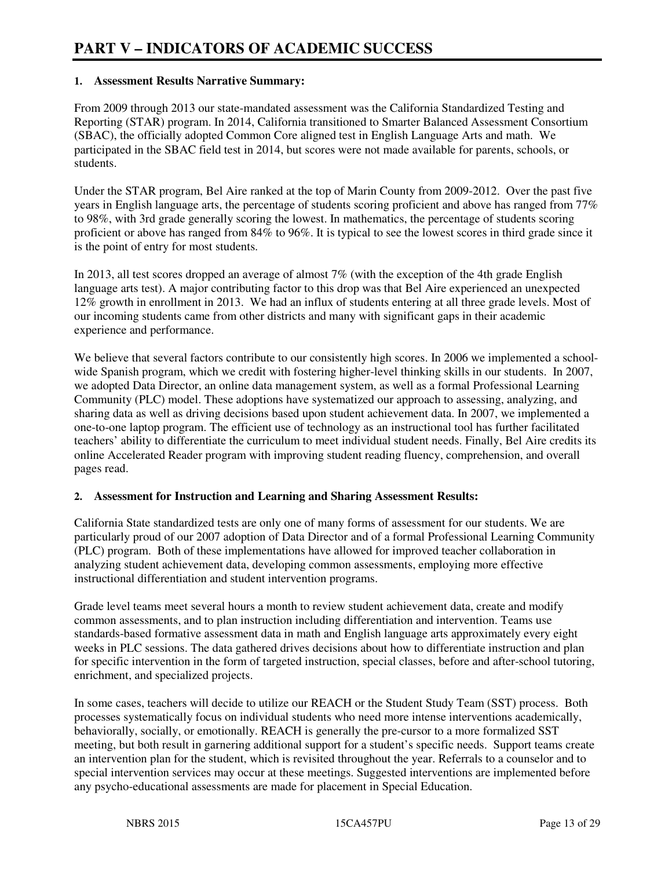## **1. Assessment Results Narrative Summary:**

From 2009 through 2013 our state-mandated assessment was the California Standardized Testing and Reporting (STAR) program. In 2014, California transitioned to Smarter Balanced Assessment Consortium (SBAC), the officially adopted Common Core aligned test in English Language Arts and math. We participated in the SBAC field test in 2014, but scores were not made available for parents, schools, or students.

Under the STAR program, Bel Aire ranked at the top of Marin County from 2009-2012. Over the past five years in English language arts, the percentage of students scoring proficient and above has ranged from 77% to 98%, with 3rd grade generally scoring the lowest. In mathematics, the percentage of students scoring proficient or above has ranged from 84% to 96%. It is typical to see the lowest scores in third grade since it is the point of entry for most students.

In 2013, all test scores dropped an average of almost 7% (with the exception of the 4th grade English language arts test). A major contributing factor to this drop was that Bel Aire experienced an unexpected 12% growth in enrollment in 2013. We had an influx of students entering at all three grade levels. Most of our incoming students came from other districts and many with significant gaps in their academic experience and performance.

We believe that several factors contribute to our consistently high scores. In 2006 we implemented a schoolwide Spanish program, which we credit with fostering higher-level thinking skills in our students. In 2007, we adopted Data Director, an online data management system, as well as a formal Professional Learning Community (PLC) model. These adoptions have systematized our approach to assessing, analyzing, and sharing data as well as driving decisions based upon student achievement data. In 2007, we implemented a one-to-one laptop program. The efficient use of technology as an instructional tool has further facilitated teachers' ability to differentiate the curriculum to meet individual student needs. Finally, Bel Aire credits its online Accelerated Reader program with improving student reading fluency, comprehension, and overall pages read.

#### **2. Assessment for Instruction and Learning and Sharing Assessment Results:**

California State standardized tests are only one of many forms of assessment for our students. We are particularly proud of our 2007 adoption of Data Director and of a formal Professional Learning Community (PLC) program. Both of these implementations have allowed for improved teacher collaboration in analyzing student achievement data, developing common assessments, employing more effective instructional differentiation and student intervention programs.

Grade level teams meet several hours a month to review student achievement data, create and modify common assessments, and to plan instruction including differentiation and intervention. Teams use standards-based formative assessment data in math and English language arts approximately every eight weeks in PLC sessions. The data gathered drives decisions about how to differentiate instruction and plan for specific intervention in the form of targeted instruction, special classes, before and after-school tutoring, enrichment, and specialized projects.

In some cases, teachers will decide to utilize our REACH or the Student Study Team (SST) process. Both processes systematically focus on individual students who need more intense interventions academically, behaviorally, socially, or emotionally. REACH is generally the pre-cursor to a more formalized SST meeting, but both result in garnering additional support for a student's specific needs. Support teams create an intervention plan for the student, which is revisited throughout the year. Referrals to a counselor and to special intervention services may occur at these meetings. Suggested interventions are implemented before any psycho-educational assessments are made for placement in Special Education.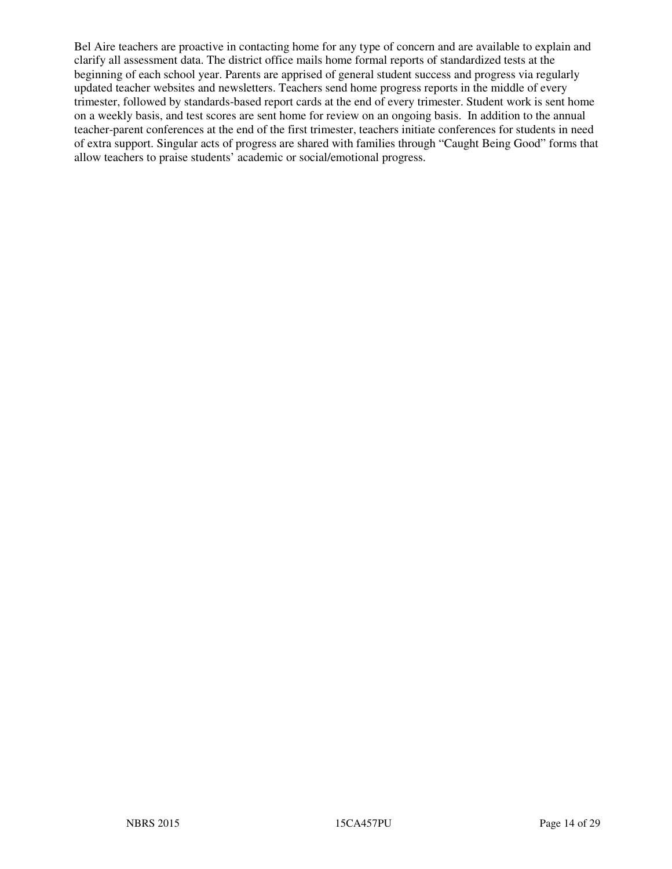Bel Aire teachers are proactive in contacting home for any type of concern and are available to explain and clarify all assessment data. The district office mails home formal reports of standardized tests at the beginning of each school year. Parents are apprised of general student success and progress via regularly updated teacher websites and newsletters. Teachers send home progress reports in the middle of every trimester, followed by standards-based report cards at the end of every trimester. Student work is sent home on a weekly basis, and test scores are sent home for review on an ongoing basis. In addition to the annual teacher-parent conferences at the end of the first trimester, teachers initiate conferences for students in need of extra support. Singular acts of progress are shared with families through "Caught Being Good" forms that allow teachers to praise students' academic or social/emotional progress.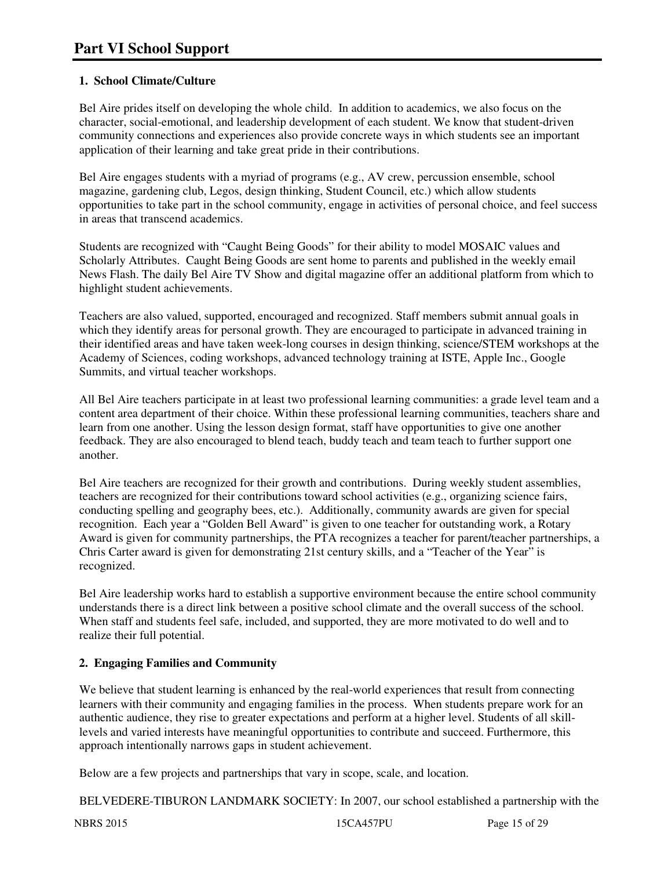# **1. School Climate/Culture**

Bel Aire prides itself on developing the whole child. In addition to academics, we also focus on the character, social-emotional, and leadership development of each student. We know that student-driven community connections and experiences also provide concrete ways in which students see an important application of their learning and take great pride in their contributions.

Bel Aire engages students with a myriad of programs (e.g., AV crew, percussion ensemble, school magazine, gardening club, Legos, design thinking, Student Council, etc.) which allow students opportunities to take part in the school community, engage in activities of personal choice, and feel success in areas that transcend academics.

Students are recognized with "Caught Being Goods" for their ability to model MOSAIC values and Scholarly Attributes. Caught Being Goods are sent home to parents and published in the weekly email News Flash. The daily Bel Aire TV Show and digital magazine offer an additional platform from which to highlight student achievements.

Teachers are also valued, supported, encouraged and recognized. Staff members submit annual goals in which they identify areas for personal growth. They are encouraged to participate in advanced training in their identified areas and have taken week-long courses in design thinking, science/STEM workshops at the Academy of Sciences, coding workshops, advanced technology training at ISTE, Apple Inc., Google Summits, and virtual teacher workshops.

All Bel Aire teachers participate in at least two professional learning communities: a grade level team and a content area department of their choice. Within these professional learning communities, teachers share and learn from one another. Using the lesson design format, staff have opportunities to give one another feedback. They are also encouraged to blend teach, buddy teach and team teach to further support one another.

Bel Aire teachers are recognized for their growth and contributions. During weekly student assemblies, teachers are recognized for their contributions toward school activities (e.g., organizing science fairs, conducting spelling and geography bees, etc.). Additionally, community awards are given for special recognition. Each year a "Golden Bell Award" is given to one teacher for outstanding work, a Rotary Award is given for community partnerships, the PTA recognizes a teacher for parent/teacher partnerships, a Chris Carter award is given for demonstrating 21st century skills, and a "Teacher of the Year" is recognized.

Bel Aire leadership works hard to establish a supportive environment because the entire school community understands there is a direct link between a positive school climate and the overall success of the school. When staff and students feel safe, included, and supported, they are more motivated to do well and to realize their full potential.

# **2. Engaging Families and Community**

We believe that student learning is enhanced by the real-world experiences that result from connecting learners with their community and engaging families in the process. When students prepare work for an authentic audience, they rise to greater expectations and perform at a higher level. Students of all skilllevels and varied interests have meaningful opportunities to contribute and succeed. Furthermore, this approach intentionally narrows gaps in student achievement.

Below are a few projects and partnerships that vary in scope, scale, and location.

BELVEDERE-TIBURON LANDMARK SOCIETY: In 2007, our school established a partnership with the

NBRS 2015 15CA457PU Page 15 of 29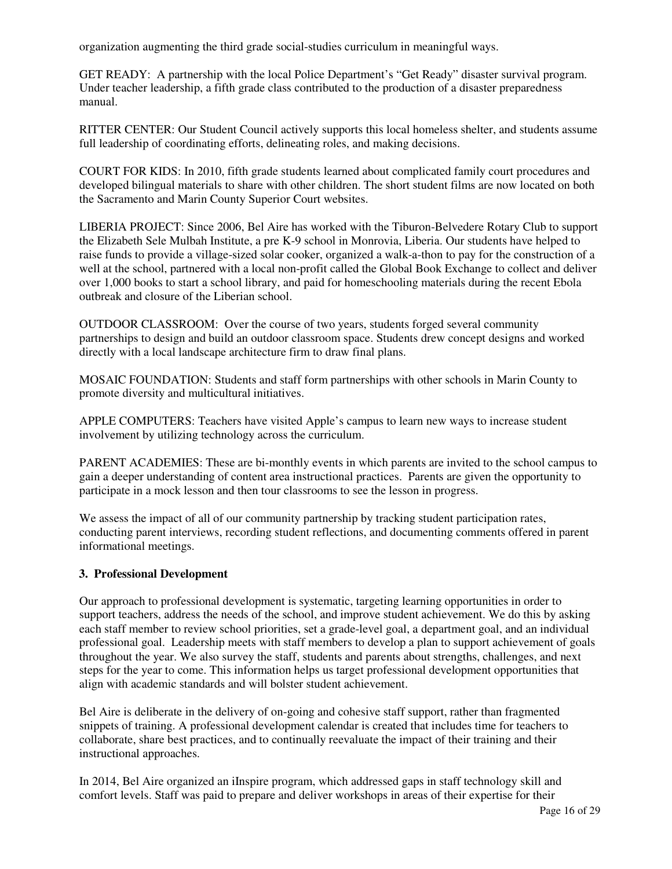organization augmenting the third grade social-studies curriculum in meaningful ways.

GET READY: A partnership with the local Police Department's "Get Ready" disaster survival program. Under teacher leadership, a fifth grade class contributed to the production of a disaster preparedness manual.

RITTER CENTER: Our Student Council actively supports this local homeless shelter, and students assume full leadership of coordinating efforts, delineating roles, and making decisions.

COURT FOR KIDS: In 2010, fifth grade students learned about complicated family court procedures and developed bilingual materials to share with other children. The short student films are now located on both the Sacramento and Marin County Superior Court websites.

LIBERIA PROJECT: Since 2006, Bel Aire has worked with the Tiburon-Belvedere Rotary Club to support the Elizabeth Sele Mulbah Institute, a pre K-9 school in Monrovia, Liberia. Our students have helped to raise funds to provide a village-sized solar cooker, organized a walk-a-thon to pay for the construction of a well at the school, partnered with a local non-profit called the Global Book Exchange to collect and deliver over 1,000 books to start a school library, and paid for homeschooling materials during the recent Ebola outbreak and closure of the Liberian school.

OUTDOOR CLASSROOM: Over the course of two years, students forged several community partnerships to design and build an outdoor classroom space. Students drew concept designs and worked directly with a local landscape architecture firm to draw final plans.

MOSAIC FOUNDATION: Students and staff form partnerships with other schools in Marin County to promote diversity and multicultural initiatives.

APPLE COMPUTERS: Teachers have visited Apple's campus to learn new ways to increase student involvement by utilizing technology across the curriculum.

PARENT ACADEMIES: These are bi-monthly events in which parents are invited to the school campus to gain a deeper understanding of content area instructional practices. Parents are given the opportunity to participate in a mock lesson and then tour classrooms to see the lesson in progress.

We assess the impact of all of our community partnership by tracking student participation rates, conducting parent interviews, recording student reflections, and documenting comments offered in parent informational meetings.

#### **3. Professional Development**

Our approach to professional development is systematic, targeting learning opportunities in order to support teachers, address the needs of the school, and improve student achievement. We do this by asking each staff member to review school priorities, set a grade-level goal, a department goal, and an individual professional goal. Leadership meets with staff members to develop a plan to support achievement of goals throughout the year. We also survey the staff, students and parents about strengths, challenges, and next steps for the year to come. This information helps us target professional development opportunities that align with academic standards and will bolster student achievement.

Bel Aire is deliberate in the delivery of on-going and cohesive staff support, rather than fragmented snippets of training. A professional development calendar is created that includes time for teachers to collaborate, share best practices, and to continually reevaluate the impact of their training and their instructional approaches.

In 2014, Bel Aire organized an iInspire program, which addressed gaps in staff technology skill and comfort levels. Staff was paid to prepare and deliver workshops in areas of their expertise for their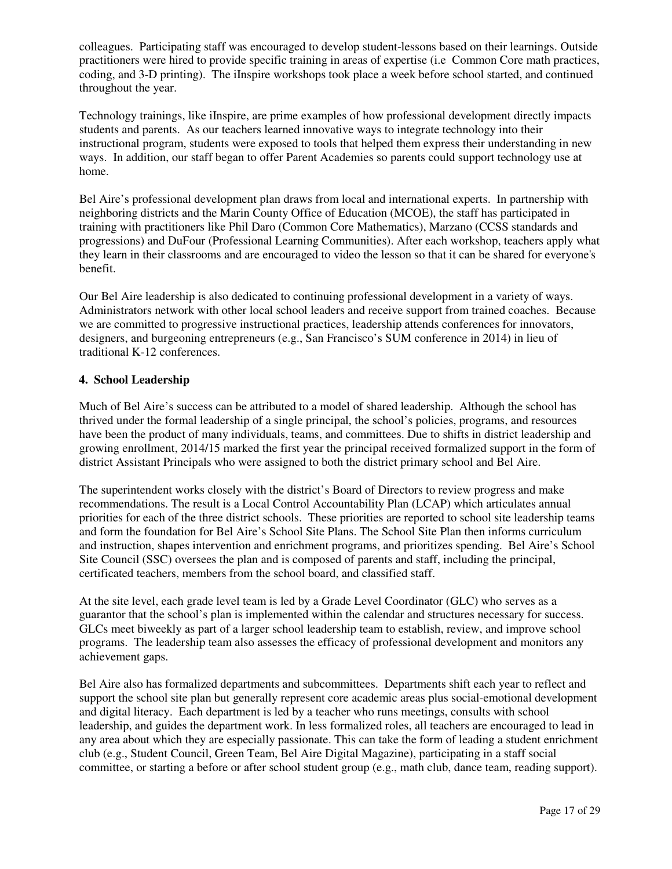colleagues. Participating staff was encouraged to develop student-lessons based on their learnings. Outside practitioners were hired to provide specific training in areas of expertise (i.e Common Core math practices, coding, and 3-D printing). The iInspire workshops took place a week before school started, and continued throughout the year.

Technology trainings, like iInspire, are prime examples of how professional development directly impacts students and parents. As our teachers learned innovative ways to integrate technology into their instructional program, students were exposed to tools that helped them express their understanding in new ways. In addition, our staff began to offer Parent Academies so parents could support technology use at home.

Bel Aire's professional development plan draws from local and international experts. In partnership with neighboring districts and the Marin County Office of Education (MCOE), the staff has participated in training with practitioners like Phil Daro (Common Core Mathematics), Marzano (CCSS standards and progressions) and DuFour (Professional Learning Communities). After each workshop, teachers apply what they learn in their classrooms and are encouraged to video the lesson so that it can be shared for everyone's benefit.

Our Bel Aire leadership is also dedicated to continuing professional development in a variety of ways. Administrators network with other local school leaders and receive support from trained coaches. Because we are committed to progressive instructional practices, leadership attends conferences for innovators, designers, and burgeoning entrepreneurs (e.g., San Francisco's SUM conference in 2014) in lieu of traditional K-12 conferences.

## **4. School Leadership**

Much of Bel Aire's success can be attributed to a model of shared leadership. Although the school has thrived under the formal leadership of a single principal, the school's policies, programs, and resources have been the product of many individuals, teams, and committees. Due to shifts in district leadership and growing enrollment, 2014/15 marked the first year the principal received formalized support in the form of district Assistant Principals who were assigned to both the district primary school and Bel Aire.

The superintendent works closely with the district's Board of Directors to review progress and make recommendations. The result is a Local Control Accountability Plan (LCAP) which articulates annual priorities for each of the three district schools. These priorities are reported to school site leadership teams and form the foundation for Bel Aire's School Site Plans. The School Site Plan then informs curriculum and instruction, shapes intervention and enrichment programs, and prioritizes spending. Bel Aire's School Site Council (SSC) oversees the plan and is composed of parents and staff, including the principal, certificated teachers, members from the school board, and classified staff.

At the site level, each grade level team is led by a Grade Level Coordinator (GLC) who serves as a guarantor that the school's plan is implemented within the calendar and structures necessary for success. GLCs meet biweekly as part of a larger school leadership team to establish, review, and improve school programs. The leadership team also assesses the efficacy of professional development and monitors any achievement gaps.

Bel Aire also has formalized departments and subcommittees. Departments shift each year to reflect and support the school site plan but generally represent core academic areas plus social-emotional development and digital literacy. Each department is led by a teacher who runs meetings, consults with school leadership, and guides the department work. In less formalized roles, all teachers are encouraged to lead in any area about which they are especially passionate. This can take the form of leading a student enrichment club (e.g., Student Council, Green Team, Bel Aire Digital Magazine), participating in a staff social committee, or starting a before or after school student group (e.g., math club, dance team, reading support).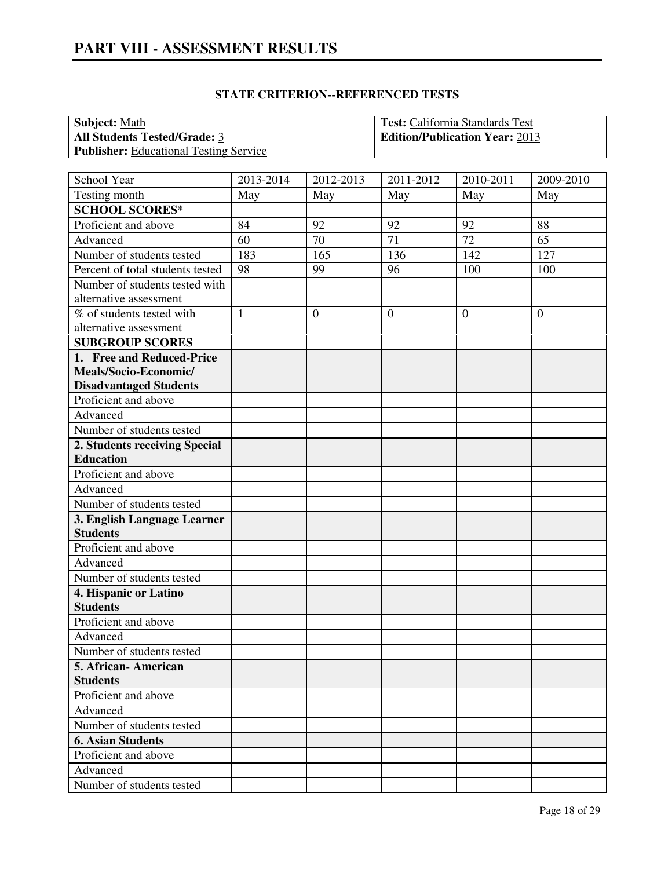| <b>Subject:</b> Math                          | <b>Test:</b> California Standards Test |
|-----------------------------------------------|----------------------------------------|
| <b>All Students Tested/Grade: 3</b>           | <b>Edition/Publication Year: 2013</b>  |
| <b>Publisher:</b> Educational Testing Service |                                        |

| School Year                      | 2013-2014    | 2012-2013      | 2011-2012      | 2010-2011      | 2009-2010      |
|----------------------------------|--------------|----------------|----------------|----------------|----------------|
| Testing month                    | May          | May            | May            | May            | May            |
| <b>SCHOOL SCORES*</b>            |              |                |                |                |                |
| Proficient and above             | 84           | 92             | 92             | 92             | 88             |
| Advanced                         | 60           | 70             | 71             | 72             | 65             |
| Number of students tested        | 183          | 165            | 136            | 142            | 127            |
| Percent of total students tested | 98           | 99             | 96             | 100            | 100            |
| Number of students tested with   |              |                |                |                |                |
| alternative assessment           |              |                |                |                |                |
| % of students tested with        | $\mathbf{1}$ | $\overline{0}$ | $\overline{0}$ | $\overline{0}$ | $\overline{0}$ |
| alternative assessment           |              |                |                |                |                |
| <b>SUBGROUP SCORES</b>           |              |                |                |                |                |
| 1. Free and Reduced-Price        |              |                |                |                |                |
| Meals/Socio-Economic/            |              |                |                |                |                |
| <b>Disadvantaged Students</b>    |              |                |                |                |                |
| Proficient and above             |              |                |                |                |                |
| Advanced                         |              |                |                |                |                |
| Number of students tested        |              |                |                |                |                |
| 2. Students receiving Special    |              |                |                |                |                |
| <b>Education</b>                 |              |                |                |                |                |
| Proficient and above             |              |                |                |                |                |
| Advanced                         |              |                |                |                |                |
| Number of students tested        |              |                |                |                |                |
| 3. English Language Learner      |              |                |                |                |                |
| <b>Students</b>                  |              |                |                |                |                |
| Proficient and above             |              |                |                |                |                |
| Advanced                         |              |                |                |                |                |
| Number of students tested        |              |                |                |                |                |
| 4. Hispanic or Latino            |              |                |                |                |                |
| <b>Students</b>                  |              |                |                |                |                |
| Proficient and above             |              |                |                |                |                |
| Advanced                         |              |                |                |                |                |
| Number of students tested        |              |                |                |                |                |
| 5. African- American             |              |                |                |                |                |
| <b>Students</b>                  |              |                |                |                |                |
| Proficient and above             |              |                |                |                |                |
| Advanced                         |              |                |                |                |                |
| Number of students tested        |              |                |                |                |                |
| <b>6. Asian Students</b>         |              |                |                |                |                |
| Proficient and above             |              |                |                |                |                |
| Advanced                         |              |                |                |                |                |
| Number of students tested        |              |                |                |                |                |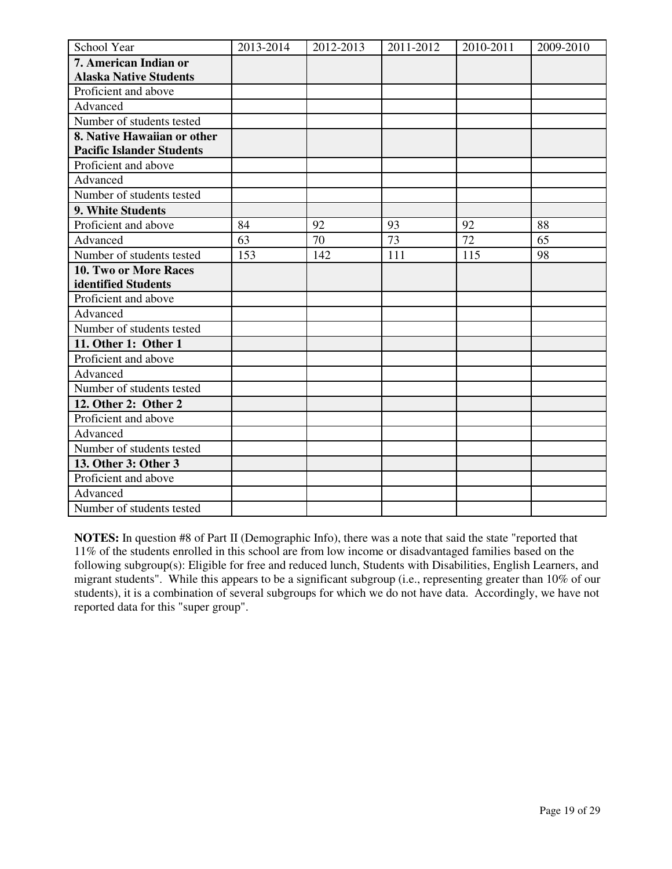| School Year                      | 2013-2014 | 2012-2013 | 2011-2012 | 2010-2011 | 2009-2010 |
|----------------------------------|-----------|-----------|-----------|-----------|-----------|
| 7. American Indian or            |           |           |           |           |           |
| <b>Alaska Native Students</b>    |           |           |           |           |           |
| Proficient and above             |           |           |           |           |           |
| Advanced                         |           |           |           |           |           |
| Number of students tested        |           |           |           |           |           |
| 8. Native Hawaiian or other      |           |           |           |           |           |
| <b>Pacific Islander Students</b> |           |           |           |           |           |
| Proficient and above             |           |           |           |           |           |
| Advanced                         |           |           |           |           |           |
| Number of students tested        |           |           |           |           |           |
| 9. White Students                |           |           |           |           |           |
| Proficient and above             | 84        | 92        | 93        | 92        | 88        |
| Advanced                         | 63        | 70        | 73        | 72        | 65        |
| Number of students tested        | 153       | 142       | 111       | 115       | 98        |
| 10. Two or More Races            |           |           |           |           |           |
| identified Students              |           |           |           |           |           |
| Proficient and above             |           |           |           |           |           |
| Advanced                         |           |           |           |           |           |
| Number of students tested        |           |           |           |           |           |
| 11. Other 1: Other 1             |           |           |           |           |           |
| Proficient and above             |           |           |           |           |           |
| Advanced                         |           |           |           |           |           |
| Number of students tested        |           |           |           |           |           |
| 12. Other 2: Other 2             |           |           |           |           |           |
| Proficient and above             |           |           |           |           |           |
| Advanced                         |           |           |           |           |           |
| Number of students tested        |           |           |           |           |           |
| 13. Other 3: Other 3             |           |           |           |           |           |
| Proficient and above             |           |           |           |           |           |
| Advanced                         |           |           |           |           |           |
| Number of students tested        |           |           |           |           |           |

**NOTES:** In question #8 of Part II (Demographic Info), there was a note that said the state "reported that 11% of the students enrolled in this school are from low income or disadvantaged families based on the following subgroup(s): Eligible for free and reduced lunch, Students with Disabilities, English Learners, and migrant students". While this appears to be a significant subgroup (i.e., representing greater than 10% of our students), it is a combination of several subgroups for which we do not have data. Accordingly, we have not reported data for this "super group".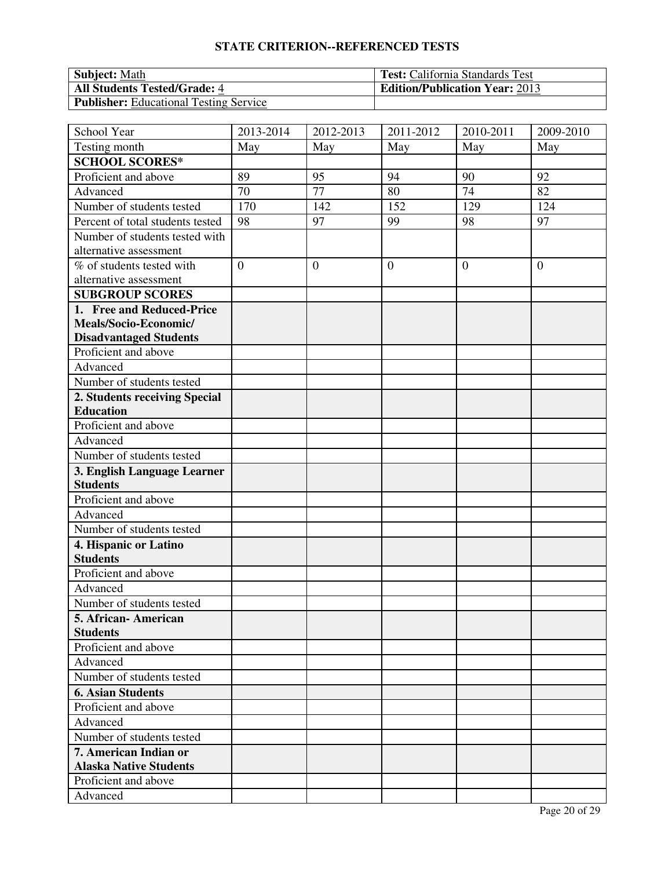| <b>Subject:</b> Math                          | <b>Test:</b> California Standards Test |
|-----------------------------------------------|----------------------------------------|
| <b>All Students Tested/Grade: 4</b>           | <b>Edition/Publication Year: 2013</b>  |
| <b>Publisher:</b> Educational Testing Service |                                        |

| School Year                      | 2013-2014      | 2012-2013    | $\overline{20}11 - 2012$ | 2010-2011        | 2009-2010      |
|----------------------------------|----------------|--------------|--------------------------|------------------|----------------|
| Testing month                    | May            | May          | May                      | May              | May            |
| <b>SCHOOL SCORES*</b>            |                |              |                          |                  |                |
| Proficient and above             | 89             | 95           | 94                       | 90               | 92             |
| Advanced                         | 70             | 77           | 80                       | 74               | 82             |
| Number of students tested        | 170            | 142          | 152                      | $\overline{1}29$ | 124            |
| Percent of total students tested | 98             | 97           | 99                       | 98               | 97             |
| Number of students tested with   |                |              |                          |                  |                |
| alternative assessment           |                |              |                          |                  |                |
| % of students tested with        | $\overline{0}$ | $\mathbf{0}$ | $\overline{0}$           | $\overline{0}$   | $\overline{0}$ |
| alternative assessment           |                |              |                          |                  |                |
| <b>SUBGROUP SCORES</b>           |                |              |                          |                  |                |
| 1. Free and Reduced-Price        |                |              |                          |                  |                |
| Meals/Socio-Economic/            |                |              |                          |                  |                |
| <b>Disadvantaged Students</b>    |                |              |                          |                  |                |
| Proficient and above             |                |              |                          |                  |                |
| Advanced                         |                |              |                          |                  |                |
| Number of students tested        |                |              |                          |                  |                |
| 2. Students receiving Special    |                |              |                          |                  |                |
| <b>Education</b>                 |                |              |                          |                  |                |
| Proficient and above             |                |              |                          |                  |                |
| Advanced                         |                |              |                          |                  |                |
| Number of students tested        |                |              |                          |                  |                |
| 3. English Language Learner      |                |              |                          |                  |                |
| <b>Students</b>                  |                |              |                          |                  |                |
| Proficient and above             |                |              |                          |                  |                |
| Advanced                         |                |              |                          |                  |                |
| Number of students tested        |                |              |                          |                  |                |
| 4. Hispanic or Latino            |                |              |                          |                  |                |
| <b>Students</b>                  |                |              |                          |                  |                |
| Proficient and above             |                |              |                          |                  |                |
| Advanced                         |                |              |                          |                  |                |
| Number of students tested        |                |              |                          |                  |                |
| 5. African- American             |                |              |                          |                  |                |
| <b>Students</b>                  |                |              |                          |                  |                |
| Proficient and above             |                |              |                          |                  |                |
| Advanced                         |                |              |                          |                  |                |
| Number of students tested        |                |              |                          |                  |                |
| <b>6. Asian Students</b>         |                |              |                          |                  |                |
| Proficient and above             |                |              |                          |                  |                |
| Advanced                         |                |              |                          |                  |                |
| Number of students tested        |                |              |                          |                  |                |
| 7. American Indian or            |                |              |                          |                  |                |
| <b>Alaska Native Students</b>    |                |              |                          |                  |                |
| Proficient and above             |                |              |                          |                  |                |
| Advanced                         |                |              |                          |                  |                |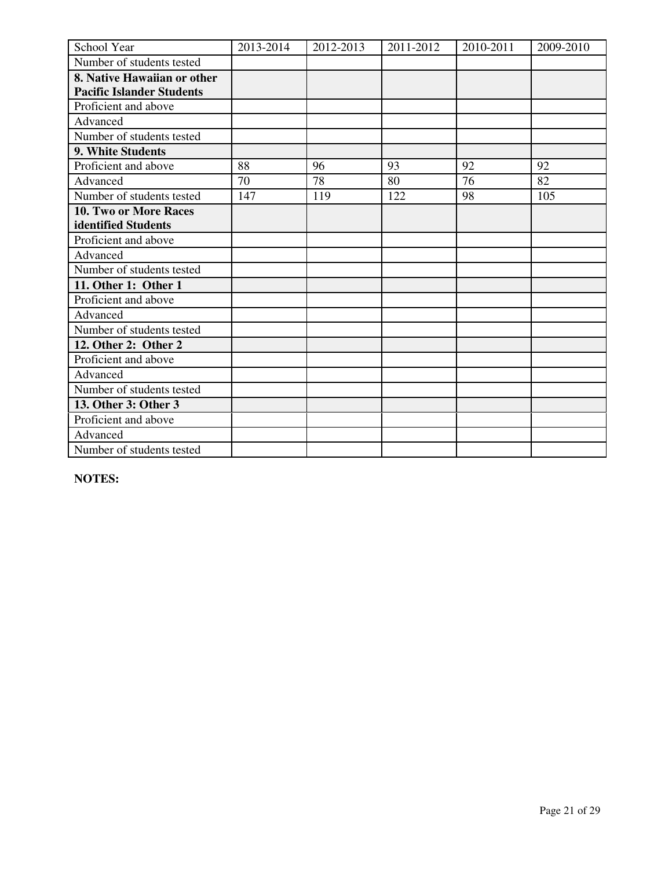| School Year                      | 2013-2014 | 2012-2013 | 2011-2012 | 2010-2011 | 2009-2010 |
|----------------------------------|-----------|-----------|-----------|-----------|-----------|
| Number of students tested        |           |           |           |           |           |
| 8. Native Hawaiian or other      |           |           |           |           |           |
| <b>Pacific Islander Students</b> |           |           |           |           |           |
| Proficient and above             |           |           |           |           |           |
| Advanced                         |           |           |           |           |           |
| Number of students tested        |           |           |           |           |           |
| 9. White Students                |           |           |           |           |           |
| Proficient and above             | 88        | 96        | 93        | 92        | 92        |
| Advanced                         | 70        | 78        | 80        | 76        | 82        |
| Number of students tested        | 147       | 119       | 122       | 98        | 105       |
| 10. Two or More Races            |           |           |           |           |           |
| identified Students              |           |           |           |           |           |
| Proficient and above             |           |           |           |           |           |
| Advanced                         |           |           |           |           |           |
| Number of students tested        |           |           |           |           |           |
| 11. Other 1: Other 1             |           |           |           |           |           |
| Proficient and above             |           |           |           |           |           |
| Advanced                         |           |           |           |           |           |
| Number of students tested        |           |           |           |           |           |
| 12. Other 2: Other 2             |           |           |           |           |           |
| Proficient and above             |           |           |           |           |           |
| Advanced                         |           |           |           |           |           |
| Number of students tested        |           |           |           |           |           |
| 13. Other 3: Other 3             |           |           |           |           |           |
| Proficient and above             |           |           |           |           |           |
| Advanced                         |           |           |           |           |           |
| Number of students tested        |           |           |           |           |           |

**NOTES:**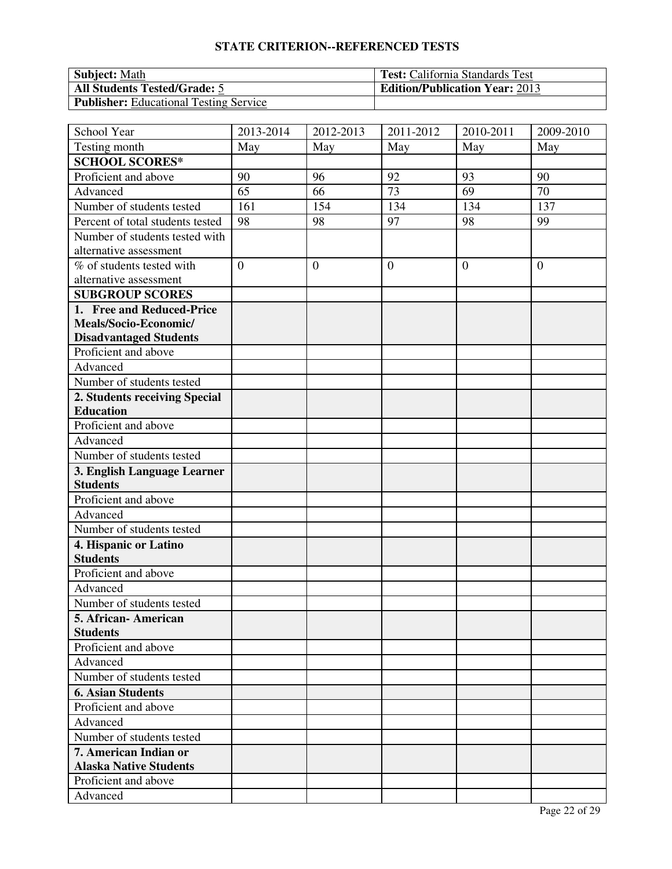| <b>Subject:</b> Math                          | <b>Test:</b> California Standards Test |
|-----------------------------------------------|----------------------------------------|
| <b>All Students Tested/Grade: 5</b>           | <b>Edition/Publication Year: 2013</b>  |
| <b>Publisher:</b> Educational Testing Service |                                        |

| School Year                      | 2013-2014      | 2012-2013      | 2011-2012    | 2010-2011      | $\overline{2009}$ -2010 |
|----------------------------------|----------------|----------------|--------------|----------------|-------------------------|
| Testing month                    | May            | May            | May          | May            | May                     |
| <b>SCHOOL SCORES*</b>            |                |                |              |                |                         |
| Proficient and above             | 90             | 96             | 92           | 93             | 90                      |
| Advanced                         | 65             | 66             | 73           | 69             | 70                      |
| Number of students tested        | 161            | 154            | 134          | 134            | 137                     |
| Percent of total students tested | 98             | 98             | 97           | 98             | 99                      |
| Number of students tested with   |                |                |              |                |                         |
| alternative assessment           |                |                |              |                |                         |
| % of students tested with        | $\overline{0}$ | $\overline{0}$ | $\mathbf{0}$ | $\overline{0}$ | $\overline{0}$          |
| alternative assessment           |                |                |              |                |                         |
| <b>SUBGROUP SCORES</b>           |                |                |              |                |                         |
| 1. Free and Reduced-Price        |                |                |              |                |                         |
| Meals/Socio-Economic/            |                |                |              |                |                         |
| <b>Disadvantaged Students</b>    |                |                |              |                |                         |
| Proficient and above             |                |                |              |                |                         |
| Advanced                         |                |                |              |                |                         |
| Number of students tested        |                |                |              |                |                         |
| 2. Students receiving Special    |                |                |              |                |                         |
| <b>Education</b>                 |                |                |              |                |                         |
| Proficient and above             |                |                |              |                |                         |
| Advanced                         |                |                |              |                |                         |
| Number of students tested        |                |                |              |                |                         |
| 3. English Language Learner      |                |                |              |                |                         |
| <b>Students</b>                  |                |                |              |                |                         |
| Proficient and above             |                |                |              |                |                         |
| Advanced                         |                |                |              |                |                         |
| Number of students tested        |                |                |              |                |                         |
| 4. Hispanic or Latino            |                |                |              |                |                         |
| <b>Students</b>                  |                |                |              |                |                         |
| Proficient and above             |                |                |              |                |                         |
| Advanced                         |                |                |              |                |                         |
| Number of students tested        |                |                |              |                |                         |
| 5. African-American              |                |                |              |                |                         |
| <b>Students</b>                  |                |                |              |                |                         |
| Proficient and above             |                |                |              |                |                         |
| Advanced                         |                |                |              |                |                         |
| Number of students tested        |                |                |              |                |                         |
| <b>6. Asian Students</b>         |                |                |              |                |                         |
| Proficient and above             |                |                |              |                |                         |
| Advanced                         |                |                |              |                |                         |
| Number of students tested        |                |                |              |                |                         |
| 7. American Indian or            |                |                |              |                |                         |
| <b>Alaska Native Students</b>    |                |                |              |                |                         |
| Proficient and above             |                |                |              |                |                         |
| Advanced                         |                |                |              |                |                         |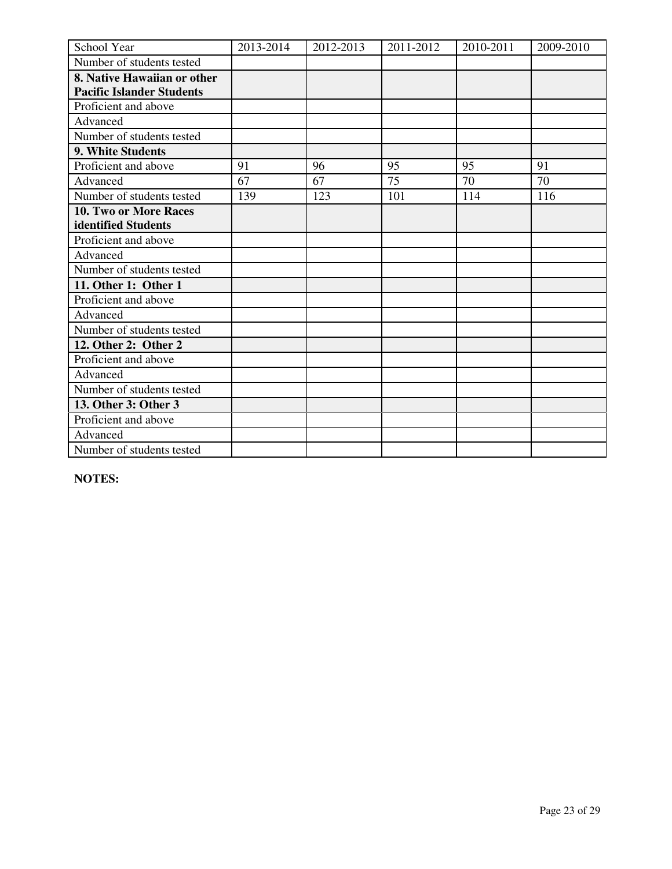| School Year                      | 2013-2014 | 2012-2013 | 2011-2012 | 2010-2011 | 2009-2010 |
|----------------------------------|-----------|-----------|-----------|-----------|-----------|
| Number of students tested        |           |           |           |           |           |
| 8. Native Hawaiian or other      |           |           |           |           |           |
| <b>Pacific Islander Students</b> |           |           |           |           |           |
| Proficient and above             |           |           |           |           |           |
| Advanced                         |           |           |           |           |           |
| Number of students tested        |           |           |           |           |           |
| 9. White Students                |           |           |           |           |           |
| Proficient and above             | 91        | 96        | 95        | 95        | 91        |
| Advanced                         | 67        | 67        | 75        | 70        | 70        |
| Number of students tested        | 139       | 123       | 101       | 114       | 116       |
| 10. Two or More Races            |           |           |           |           |           |
| identified Students              |           |           |           |           |           |
| Proficient and above             |           |           |           |           |           |
| Advanced                         |           |           |           |           |           |
| Number of students tested        |           |           |           |           |           |
| 11. Other 1: Other 1             |           |           |           |           |           |
| Proficient and above             |           |           |           |           |           |
| Advanced                         |           |           |           |           |           |
| Number of students tested        |           |           |           |           |           |
| 12. Other 2: Other 2             |           |           |           |           |           |
| Proficient and above             |           |           |           |           |           |
| Advanced                         |           |           |           |           |           |
| Number of students tested        |           |           |           |           |           |
| 13. Other 3: Other 3             |           |           |           |           |           |
| Proficient and above             |           |           |           |           |           |
| Advanced                         |           |           |           |           |           |
| Number of students tested        |           |           |           |           |           |

**NOTES:**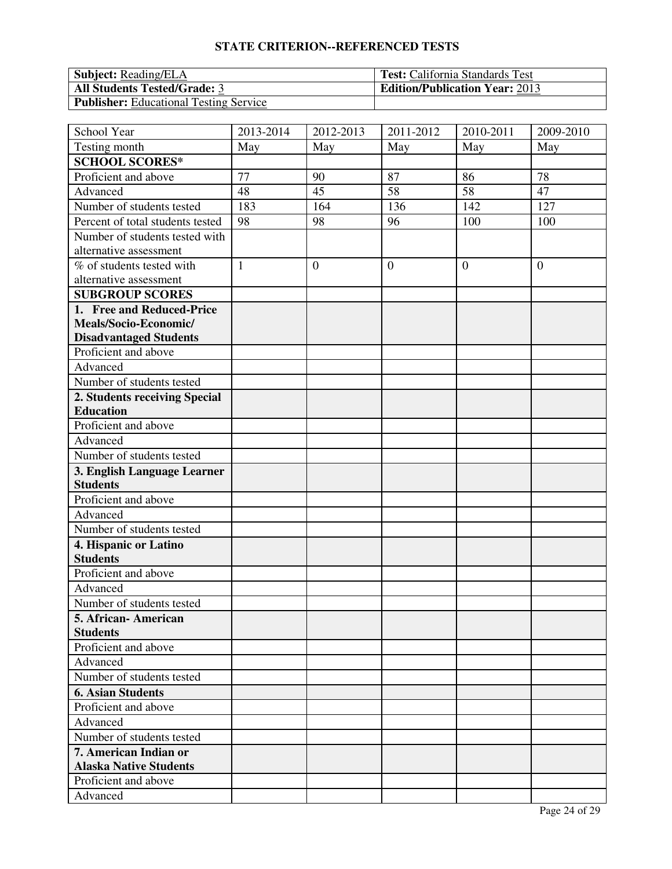| <b>Subject:</b> Reading/ELA                   | <b>Test:</b> California Standards Test |
|-----------------------------------------------|----------------------------------------|
| <b>All Students Tested/Grade: 3</b>           | <b>Edition/Publication Year: 2013</b>  |
| <b>Publisher:</b> Educational Testing Service |                                        |

| School Year                      | 2013-2014    | 2012-2013 | 2011-2012      | $\overline{2010}$ -2011 | 2009-2010      |
|----------------------------------|--------------|-----------|----------------|-------------------------|----------------|
| Testing month                    | May          | May       | May            | May                     | May            |
| <b>SCHOOL SCORES*</b>            |              |           |                |                         |                |
| Proficient and above             | 77           | 90        | 87             | 86                      | 78             |
| Advanced                         | 48           | 45        | 58             | 58                      | 47             |
| Number of students tested        | 183          | 164       | 136            | 142                     | 127            |
| Percent of total students tested | 98           | 98        | 96             | 100                     | 100            |
| Number of students tested with   |              |           |                |                         |                |
| alternative assessment           |              |           |                |                         |                |
| % of students tested with        | $\mathbf{1}$ | $\theta$  | $\overline{0}$ | $\theta$                | $\overline{0}$ |
| alternative assessment           |              |           |                |                         |                |
| <b>SUBGROUP SCORES</b>           |              |           |                |                         |                |
| 1. Free and Reduced-Price        |              |           |                |                         |                |
| Meals/Socio-Economic/            |              |           |                |                         |                |
| <b>Disadvantaged Students</b>    |              |           |                |                         |                |
| Proficient and above             |              |           |                |                         |                |
| Advanced                         |              |           |                |                         |                |
| Number of students tested        |              |           |                |                         |                |
| 2. Students receiving Special    |              |           |                |                         |                |
| <b>Education</b>                 |              |           |                |                         |                |
| Proficient and above             |              |           |                |                         |                |
| Advanced                         |              |           |                |                         |                |
| Number of students tested        |              |           |                |                         |                |
| 3. English Language Learner      |              |           |                |                         |                |
| <b>Students</b>                  |              |           |                |                         |                |
| Proficient and above             |              |           |                |                         |                |
| Advanced                         |              |           |                |                         |                |
| Number of students tested        |              |           |                |                         |                |
| 4. Hispanic or Latino            |              |           |                |                         |                |
| <b>Students</b>                  |              |           |                |                         |                |
| Proficient and above             |              |           |                |                         |                |
| Advanced                         |              |           |                |                         |                |
| Number of students tested        |              |           |                |                         |                |
| 5. African- American             |              |           |                |                         |                |
| <b>Students</b>                  |              |           |                |                         |                |
| Proficient and above             |              |           |                |                         |                |
| Advanced                         |              |           |                |                         |                |
| Number of students tested        |              |           |                |                         |                |
| <b>6. Asian Students</b>         |              |           |                |                         |                |
| Proficient and above             |              |           |                |                         |                |
| Advanced                         |              |           |                |                         |                |
| Number of students tested        |              |           |                |                         |                |
| 7. American Indian or            |              |           |                |                         |                |
| <b>Alaska Native Students</b>    |              |           |                |                         |                |
| Proficient and above             |              |           |                |                         |                |
| Advanced                         |              |           |                |                         |                |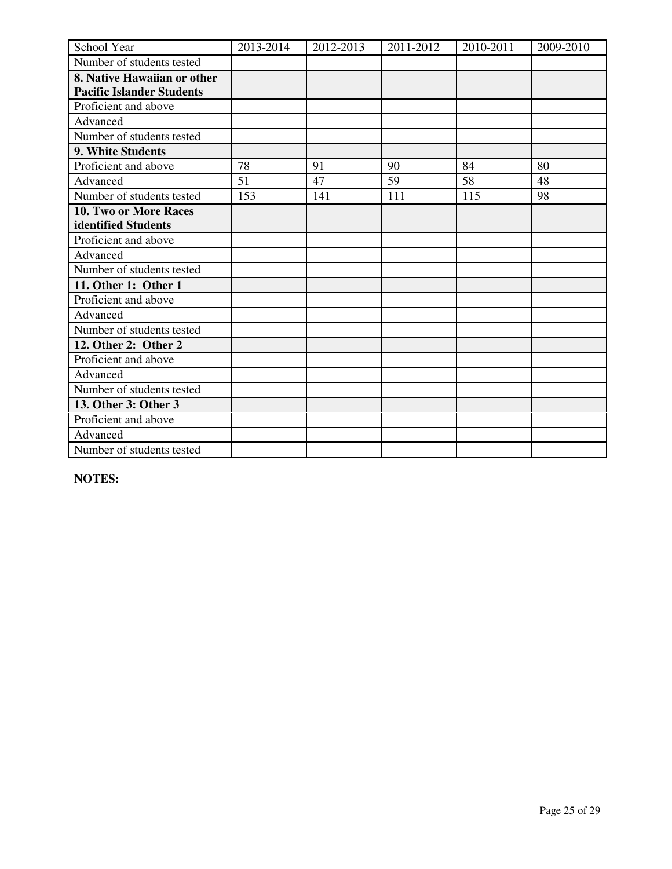| School Year                      | 2013-2014 | 2012-2013 | 2011-2012 | 2010-2011 | 2009-2010 |
|----------------------------------|-----------|-----------|-----------|-----------|-----------|
| Number of students tested        |           |           |           |           |           |
| 8. Native Hawaiian or other      |           |           |           |           |           |
| <b>Pacific Islander Students</b> |           |           |           |           |           |
| Proficient and above             |           |           |           |           |           |
| Advanced                         |           |           |           |           |           |
| Number of students tested        |           |           |           |           |           |
| 9. White Students                |           |           |           |           |           |
| Proficient and above             | 78        | 91        | 90        | 84        | 80        |
| Advanced                         | 51        | 47        | 59        | 58        | 48        |
| Number of students tested        | 153       | 141       | 111       | 115       | 98        |
| 10. Two or More Races            |           |           |           |           |           |
| identified Students              |           |           |           |           |           |
| Proficient and above             |           |           |           |           |           |
| Advanced                         |           |           |           |           |           |
| Number of students tested        |           |           |           |           |           |
| 11. Other 1: Other 1             |           |           |           |           |           |
| Proficient and above             |           |           |           |           |           |
| Advanced                         |           |           |           |           |           |
| Number of students tested        |           |           |           |           |           |
| 12. Other 2: Other 2             |           |           |           |           |           |
| Proficient and above             |           |           |           |           |           |
| Advanced                         |           |           |           |           |           |
| Number of students tested        |           |           |           |           |           |
| 13. Other 3: Other 3             |           |           |           |           |           |
| Proficient and above             |           |           |           |           |           |
| Advanced                         |           |           |           |           |           |
| Number of students tested        |           |           |           |           |           |

**NOTES:**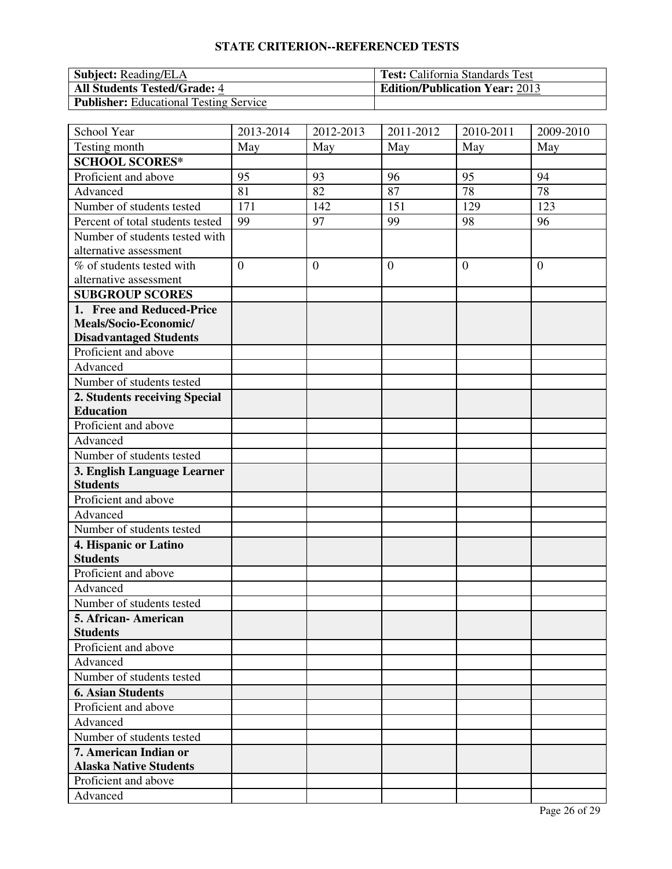| <b>Subject:</b> Reading/ELA                   | <b>Test:</b> California Standards Test |
|-----------------------------------------------|----------------------------------------|
| <b>All Students Tested/Grade: 4</b>           | <b>Edition/Publication Year: 2013</b>  |
| <b>Publisher:</b> Educational Testing Service |                                        |

| School Year                      | 2013-2014      | 2012-2013    | $\overline{20}11 - 2012$ | $\overline{2010}$ -2011 | 2009-2010      |
|----------------------------------|----------------|--------------|--------------------------|-------------------------|----------------|
| Testing month                    | May            | May          | May                      | May                     | May            |
| <b>SCHOOL SCORES*</b>            |                |              |                          |                         |                |
| Proficient and above             | 95             | 93           | 96                       | 95                      | 94             |
| Advanced                         | 81             | 82           | 87                       | 78                      | 78             |
| Number of students tested        | 171            | 142          | 151                      | $\overline{1}29$        | 123            |
| Percent of total students tested | 99             | 97           | 99                       | 98                      | 96             |
| Number of students tested with   |                |              |                          |                         |                |
| alternative assessment           |                |              |                          |                         |                |
| % of students tested with        | $\overline{0}$ | $\mathbf{0}$ | $\overline{0}$           | $\overline{0}$          | $\overline{0}$ |
| alternative assessment           |                |              |                          |                         |                |
| <b>SUBGROUP SCORES</b>           |                |              |                          |                         |                |
| 1. Free and Reduced-Price        |                |              |                          |                         |                |
| Meals/Socio-Economic/            |                |              |                          |                         |                |
| <b>Disadvantaged Students</b>    |                |              |                          |                         |                |
| Proficient and above             |                |              |                          |                         |                |
| Advanced                         |                |              |                          |                         |                |
| Number of students tested        |                |              |                          |                         |                |
| 2. Students receiving Special    |                |              |                          |                         |                |
| <b>Education</b>                 |                |              |                          |                         |                |
| Proficient and above             |                |              |                          |                         |                |
| Advanced                         |                |              |                          |                         |                |
| Number of students tested        |                |              |                          |                         |                |
| 3. English Language Learner      |                |              |                          |                         |                |
| <b>Students</b>                  |                |              |                          |                         |                |
| Proficient and above             |                |              |                          |                         |                |
| Advanced                         |                |              |                          |                         |                |
| Number of students tested        |                |              |                          |                         |                |
| 4. Hispanic or Latino            |                |              |                          |                         |                |
| <b>Students</b>                  |                |              |                          |                         |                |
| Proficient and above             |                |              |                          |                         |                |
| Advanced                         |                |              |                          |                         |                |
| Number of students tested        |                |              |                          |                         |                |
| 5. African- American             |                |              |                          |                         |                |
| <b>Students</b>                  |                |              |                          |                         |                |
| Proficient and above             |                |              |                          |                         |                |
| Advanced                         |                |              |                          |                         |                |
| Number of students tested        |                |              |                          |                         |                |
| <b>6. Asian Students</b>         |                |              |                          |                         |                |
| Proficient and above             |                |              |                          |                         |                |
| Advanced                         |                |              |                          |                         |                |
| Number of students tested        |                |              |                          |                         |                |
| 7. American Indian or            |                |              |                          |                         |                |
| <b>Alaska Native Students</b>    |                |              |                          |                         |                |
| Proficient and above             |                |              |                          |                         |                |
| Advanced                         |                |              |                          |                         |                |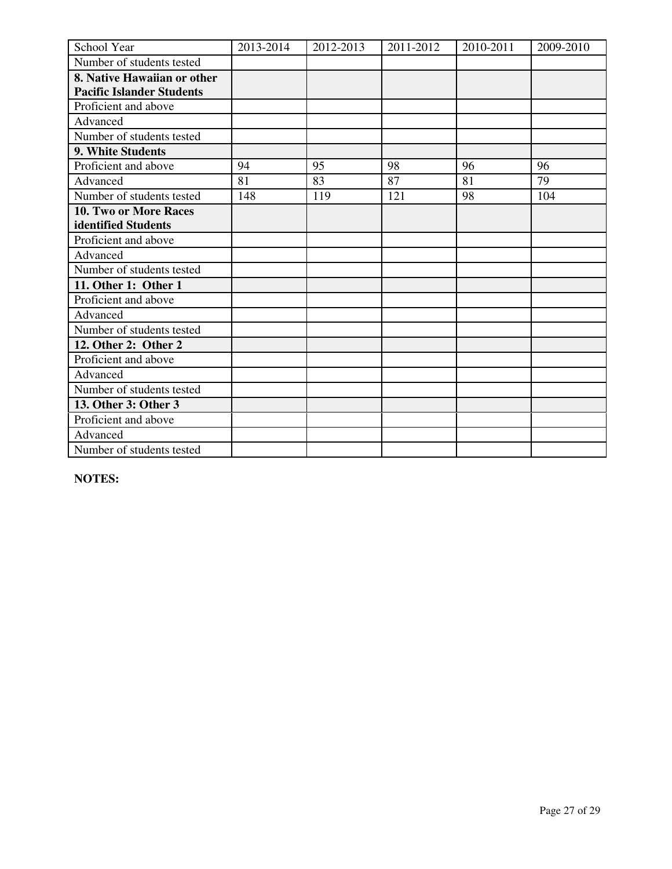| School Year                      | 2013-2014 | 2012-2013 | 2011-2012 | 2010-2011 | 2009-2010 |
|----------------------------------|-----------|-----------|-----------|-----------|-----------|
| Number of students tested        |           |           |           |           |           |
| 8. Native Hawaiian or other      |           |           |           |           |           |
| <b>Pacific Islander Students</b> |           |           |           |           |           |
| Proficient and above             |           |           |           |           |           |
| Advanced                         |           |           |           |           |           |
| Number of students tested        |           |           |           |           |           |
| 9. White Students                |           |           |           |           |           |
| Proficient and above             | 94        | 95        | 98        | 96        | 96        |
| Advanced                         | 81        | 83        | 87        | 81        | 79        |
| Number of students tested        | 148       | 119       | 121       | 98        | 104       |
| 10. Two or More Races            |           |           |           |           |           |
| identified Students              |           |           |           |           |           |
| Proficient and above             |           |           |           |           |           |
| Advanced                         |           |           |           |           |           |
| Number of students tested        |           |           |           |           |           |
| 11. Other 1: Other 1             |           |           |           |           |           |
| Proficient and above             |           |           |           |           |           |
| Advanced                         |           |           |           |           |           |
| Number of students tested        |           |           |           |           |           |
| 12. Other 2: Other 2             |           |           |           |           |           |
| Proficient and above             |           |           |           |           |           |
| Advanced                         |           |           |           |           |           |
| Number of students tested        |           |           |           |           |           |
| 13. Other 3: Other 3             |           |           |           |           |           |
| Proficient and above             |           |           |           |           |           |
| Advanced                         |           |           |           |           |           |
| Number of students tested        |           |           |           |           |           |

**NOTES:**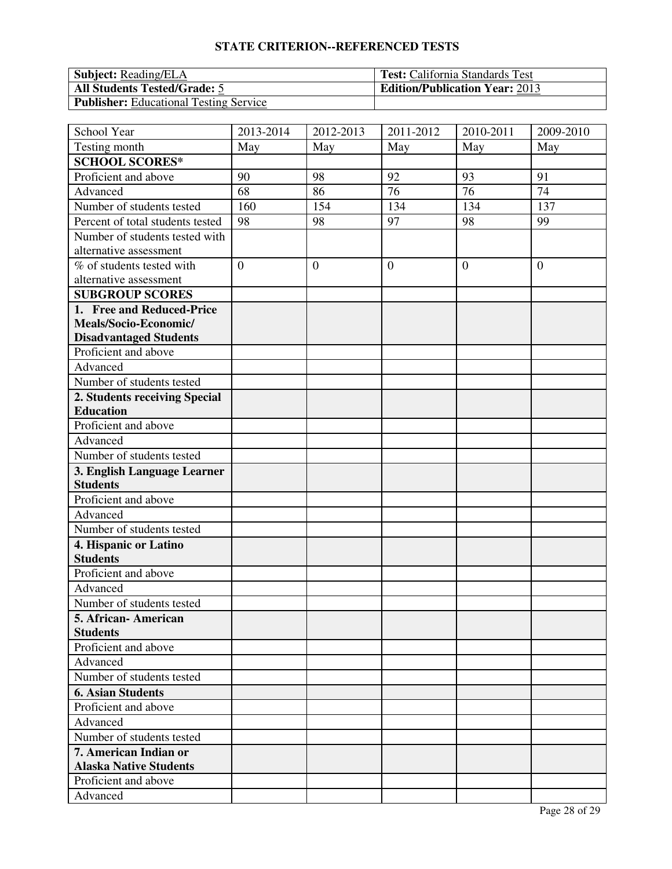| <b>Subject:</b> Reading/ELA                   | <b>Test:</b> California Standards Test |
|-----------------------------------------------|----------------------------------------|
| <b>All Students Tested/Grade: 5</b>           | <b>Edition/Publication Year: 2013</b>  |
| <b>Publisher:</b> Educational Testing Service |                                        |

| School Year                      | 2013-2014      | 2012-2013 | 2011-2012      | $\overline{2010}$ -2011 | 2009-2010      |
|----------------------------------|----------------|-----------|----------------|-------------------------|----------------|
| Testing month                    | May            | May       | May            | May                     | May            |
| <b>SCHOOL SCORES*</b>            |                |           |                |                         |                |
| Proficient and above             | 90             | 98        | 92             | 93                      | 91             |
| Advanced                         | 68             | 86        | 76             | 76                      | 74             |
| Number of students tested        | 160            | 154       | 134            | 134                     | 137            |
| Percent of total students tested | 98             | 98        | 97             | 98                      | 99             |
| Number of students tested with   |                |           |                |                         |                |
| alternative assessment           |                |           |                |                         |                |
| % of students tested with        | $\overline{0}$ | $\theta$  | $\overline{0}$ | $\theta$                | $\overline{0}$ |
| alternative assessment           |                |           |                |                         |                |
| <b>SUBGROUP SCORES</b>           |                |           |                |                         |                |
| 1. Free and Reduced-Price        |                |           |                |                         |                |
| Meals/Socio-Economic/            |                |           |                |                         |                |
| <b>Disadvantaged Students</b>    |                |           |                |                         |                |
| Proficient and above             |                |           |                |                         |                |
| Advanced                         |                |           |                |                         |                |
| Number of students tested        |                |           |                |                         |                |
| 2. Students receiving Special    |                |           |                |                         |                |
| <b>Education</b>                 |                |           |                |                         |                |
| Proficient and above             |                |           |                |                         |                |
| Advanced                         |                |           |                |                         |                |
| Number of students tested        |                |           |                |                         |                |
| 3. English Language Learner      |                |           |                |                         |                |
| <b>Students</b>                  |                |           |                |                         |                |
| Proficient and above             |                |           |                |                         |                |
| Advanced                         |                |           |                |                         |                |
| Number of students tested        |                |           |                |                         |                |
| 4. Hispanic or Latino            |                |           |                |                         |                |
| <b>Students</b>                  |                |           |                |                         |                |
| Proficient and above             |                |           |                |                         |                |
| Advanced                         |                |           |                |                         |                |
| Number of students tested        |                |           |                |                         |                |
| 5. African- American             |                |           |                |                         |                |
| <b>Students</b>                  |                |           |                |                         |                |
| Proficient and above             |                |           |                |                         |                |
| Advanced                         |                |           |                |                         |                |
| Number of students tested        |                |           |                |                         |                |
| <b>6. Asian Students</b>         |                |           |                |                         |                |
| Proficient and above             |                |           |                |                         |                |
| Advanced                         |                |           |                |                         |                |
| Number of students tested        |                |           |                |                         |                |
| 7. American Indian or            |                |           |                |                         |                |
| <b>Alaska Native Students</b>    |                |           |                |                         |                |
| Proficient and above             |                |           |                |                         |                |
| Advanced                         |                |           |                |                         |                |